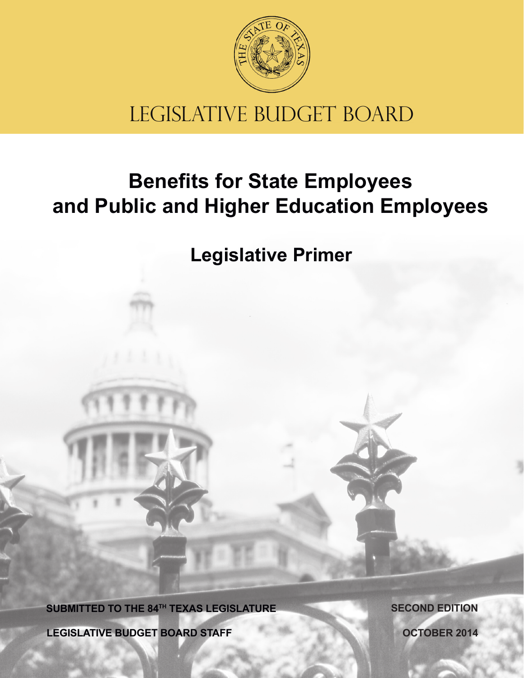

LEGISLATIVE BUDGET BOARD

# **Benefits for State Employees and Public and Higher Education Employees**

**Legislative Primer**

**SUBMITTED TO THE 84TH TEXAS LEGISLATURE**

**LEGISLATIVE BUDGET BOARD STAFF**

**OCTOBER 2014 SECOND EDITION**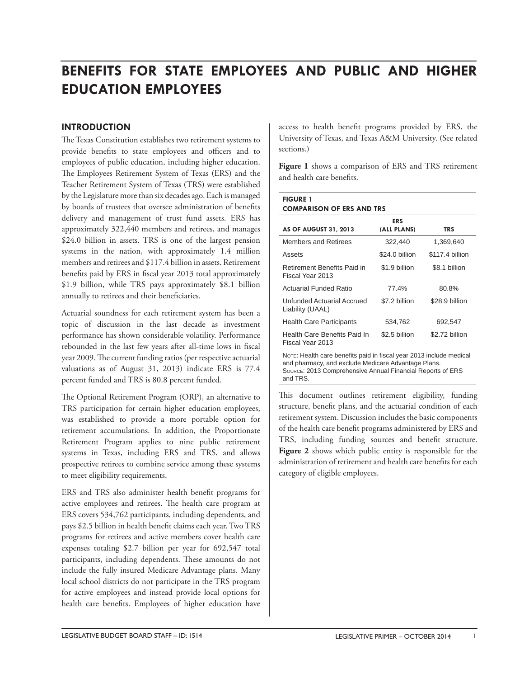# **BENEFITS FOR STATE EMPLOYEES AND PUBLIC AND HIGHER EDUCATION EMPLOYEES**

# **INTRODUCTION**

The Texas Constitution establishes two retirement systems to provide benefits to state employees and officers and to employees of public education, including higher education. The Employees Retirement System of Texas (ERS) and the Teacher Retirement System of Texas (TRS) were established by the Legislature more than six decades ago. Each is managed by boards of trustees that oversee administration of benefits delivery and management of trust fund assets. ERS has approximately 322,440 members and retirees, and manages \$24.0 billion in assets. TRS is one of the largest pension systems in the nation, with approximately 1.4 million members and retirees and \$117.4 billion in assets. Retirement benefits paid by ERS in fiscal year 2013 total approximately \$1.9 billion, while TRS pays approximately \$8.1 billion annually to retirees and their beneficiaries.

Actuarial soundness for each retirement system has been a topic of discussion in the last decade as investment performance has shown considerable volatility. Performance rebounded in the last few years after all-time lows in fiscal year 2009. The current funding ratios (per respective actuarial valuations as of August 31, 2013) indicate ERS is 77.4 percent funded and TRS is 80.8 percent funded.

The Optional Retirement Program (ORP), an alternative to TRS participation for certain higher education employees, was established to provide a more portable option for retirement accumulations. In addition, the Proportionate Retirement Program applies to nine public retirement systems in Texas, including ERS and TRS, and allows prospective retirees to combine service among these systems to meet eligibility requirements.

ERS and TRS also administer health benefit programs for active employees and retirees. The health care program at ERS covers 534,762 participants, including dependents, and pays \$2.5 billion in health benefit claims each year. Two TRS programs for retirees and active members cover health care expenses totaling \$2.7 billion per year for 692,547 total participants, including dependents. These amounts do not include the fully insured Medicare Advantage plans. Many local school districts do not participate in the TRS program for active employees and instead provide local options for health care benefits. Employees of higher education have

access to health benefit programs provided by ERS, the University of Texas, and Texas A&M University. (See related sections.)

**Figure 1** shows a comparison of ERS and TRS retirement and health care benefits.

#### **FIGURE 1 COMPARISON OF ERS AND TRS**

| <b>AS OF AUGUST 31, 2013</b>                                                                                               | <b>ERS</b><br>(ALL PLANS) | <b>TRS</b>      |
|----------------------------------------------------------------------------------------------------------------------------|---------------------------|-----------------|
| <b>Members and Retirees</b>                                                                                                | 322,440                   | 1,369,640       |
| Assets                                                                                                                     | \$24.0 billion            | \$117.4 billion |
| Retirement Benefits Paid in<br>Fiscal Year 2013                                                                            | \$1.9 billion             | \$8.1 billion   |
| Actuarial Funded Ratio                                                                                                     | 77.4%                     | 80.8%           |
| Unfunded Actuarial Accrued<br>Liability (UAAL)                                                                             | \$7.2 billion             | \$28.9 billion  |
| <b>Health Care Participants</b>                                                                                            | 534,762                   | 692,547         |
| Health Care Benefits Paid In<br>Fiscal Year 2013                                                                           | \$2.5 billion             | \$2.72 billion  |
| NOTE: Health care benefits paid in fiscal year 2013 include medical<br>and pharmacy, and exclude Medicare Advantage Plans. |                           |                 |

SOURCE: 2013 Comprehensive Annual Financial Reports of ERS and TRS.

This document outlines retirement eligibility, funding structure, benefit plans, and the actuarial condition of each retirement system. Discussion includes the basic components of the health care benefit programs administered by ERS and TRS, including funding sources and benefit structure. Figure 2 shows which public entity is responsible for the administration of retirement and health care benefits for each category of eligible employees.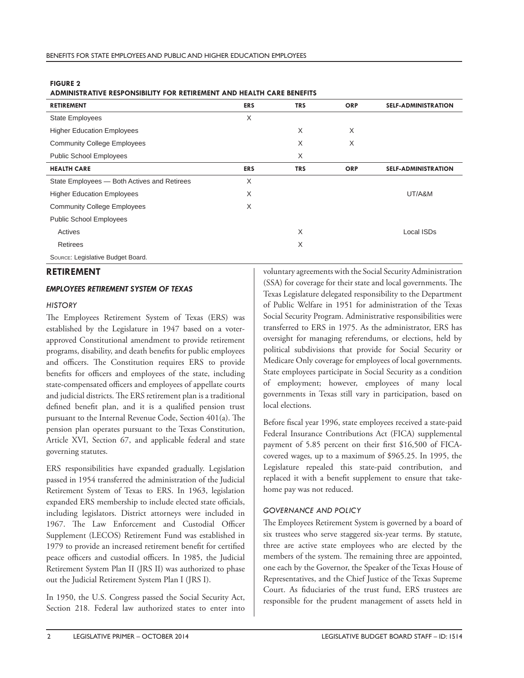#### **FIGURE 2**

| <b>RETIREMENT</b>                           | <b>ERS</b> | <b>TRS</b> | <b>ORP</b> | <b>SELF-ADMINISTRATION</b> |
|---------------------------------------------|------------|------------|------------|----------------------------|
| <b>State Employees</b>                      | $\times$   |            |            |                            |
| <b>Higher Education Employees</b>           |            | X          | X          |                            |
| <b>Community College Employees</b>          |            | X          | X          |                            |
| <b>Public School Employees</b>              |            | X          |            |                            |
| <b>HEALTH CARE</b>                          | <b>ERS</b> | <b>TRS</b> | <b>ORP</b> | <b>SELF-ADMINISTRATION</b> |
| State Employees — Both Actives and Retirees | X          |            |            |                            |
| <b>Higher Education Employees</b>           | X          |            |            | UT/A&M                     |
| <b>Community College Employees</b>          | X          |            |            |                            |
| <b>Public School Employees</b>              |            |            |            |                            |
| Actives                                     |            | X          |            | Local ISDs                 |
| Retirees                                    |            | X          |            |                            |
| SOURCE: Legislative Budget Board.           |            |            |            |                            |

#### **ADMINISTRATIVE RESPONSIBILITY FOR RETIREMENT AND HEALTH CARE BENEFITS**

#### **RETIREMENT**

#### *EMPLOYEES RETIREMENT SYSTEM OF TEXAS*

#### *HISTORY*

The Employees Retirement System of Texas (ERS) was established by the Legislature in 1947 based on a voterapproved Constitutional amendment to provide retirement programs, disability, and death benefits for public employees and officers. The Constitution requires ERS to provide benefits for officers and employees of the state, including state-compensated officers and employees of appellate courts and judicial districts. The ERS retirement plan is a traditional defined benefit plan, and it is a qualified pension trust pursuant to the Internal Revenue Code, Section  $401(a)$ . The pension plan operates pursuant to the Texas Constitution, Article XVI, Section 67, and applicable federal and state governing statutes.

ERS responsibilities have expanded gradually. Legislation passed in 1954 transferred the administration of the Judicial Retirement System of Texas to ERS. In 1963, legislation expanded ERS membership to include elected state officials, including legislators. District attorneys were included in 1967. The Law Enforcement and Custodial Officer Supplement (LECOS) Retirement Fund was established in 1979 to provide an increased retirement benefit for certified peace officers and custodial officers. In 1985, the Judicial Retirement System Plan II (JRS II) was authorized to phase out the Judicial Retirement System Plan I (JRS I).

In 1950, the U.S. Congress passed the Social Security Act, Section 218. Federal law authorized states to enter into voluntary agreements with the Social Security Administration (SSA) for coverage for their state and local governments. The Texas Legislature delegated responsibility to the Department of Public Welfare in 1951 for administration of the Texas Social Security Program. Administrative responsibilities were transferred to ERS in 1975. As the administrator, ERS has oversight for managing referendums, or elections, held by political subdivisions that provide for Social Security or Medicare Only coverage for employees of local governments. State employees participate in Social Security as a condition of employment; however, employees of many local governments in Texas still vary in participation, based on local elections.

Before fiscal year 1996, state employees received a state-paid Federal Insurance Contributions Act (FICA) supplemental payment of 5.85 percent on their first \$16,500 of FICAcovered wages, up to a maximum of \$965.25. In 1995, the Legislature repealed this state-paid contribution, and replaced it with a benefit supplement to ensure that takehome pay was not reduced.

#### *GOVERNANCE AND POLICY*

The Employees Retirement System is governed by a board of six trustees who serve staggered six-year terms. By statute, three are active state employees who are elected by the members of the system. The remaining three are appointed, one each by the Governor, the Speaker of the Texas House of Representatives, and the Chief Justice of the Texas Supreme Court. As fiduciaries of the trust fund, ERS trustees are responsible for the prudent management of assets held in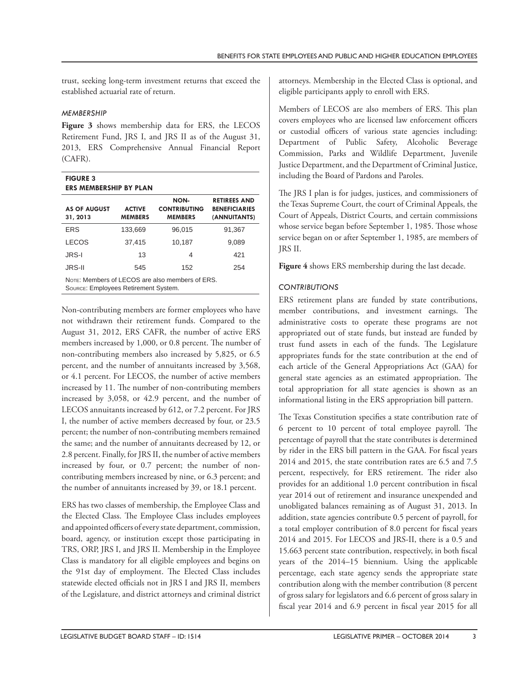trust, seeking long-term investment returns that exceed the established actuarial rate of return.

# *MEMBERSHIP*

**Figure 3** shows membership data for ERS, the LECOS Retirement Fund, JRS I, and JRS II as of the August 31, 2013, ERS Comprehensive Annual Financial Report (CAFR).

| <b>FIGURE 3</b><br><b>ERS MEMBERSHIP BY PLAN</b>                                        |                                 |                                               |                                                             |
|-----------------------------------------------------------------------------------------|---------------------------------|-----------------------------------------------|-------------------------------------------------------------|
| <b>AS OF AUGUST</b><br>31, 2013                                                         | <b>ACTIVE</b><br><b>MEMBERS</b> | NON-<br><b>CONTRIBUTING</b><br><b>MEMBERS</b> | <b>RETIREES AND</b><br><b>BENEFICIARIES</b><br>(ANNUITANTS) |
| <b>ERS</b>                                                                              | 133,669                         | 96,015                                        | 91,367                                                      |
| LECOS                                                                                   | 37,415                          | 10,187                                        | 9,089                                                       |
| JRS-I                                                                                   | 13                              | 4                                             | 421                                                         |
| <b>JRS-II</b>                                                                           | 545                             | 152                                           | 254                                                         |
| NOTE: Members of LECOS are also members of ERS.<br>SOURCE: Employees Retirement System. |                                 |                                               |                                                             |

Non-contributing members are former employees who have not withdrawn their retirement funds. Compared to the August 31, 2012, ERS CAFR, the number of active ERS members increased by 1,000, or 0.8 percent. The number of non-contributing members also increased by 5,825, or 6.5 percent, and the number of annuitants increased by 3,568, or 4.1 percent. For LECOS, the number of active members increased by 11. The number of non-contributing members increased by 3,058, or 42.9 percent, and the number of LECOS annuitants increased by 612, or 7.2 percent. For JRS I, the number of active members decreased by four, or 23.5 percent; the number of non-contributing members remained the same; and the number of annuitants decreased by 12, or 2.8 percent. Finally, for JRS II, the number of active members increased by four, or 0.7 percent; the number of noncontributing members increased by nine, or 6.3 percent; and the number of annuitants increased by 39, or 18.1 percent.

ERS has two classes of membership, the Employee Class and the Elected Class. The Employee Class includes employees and appointed officers of every state department, commission, board, agency, or institution except those participating in TRS, ORP, JRS I, and JRS II. Membership in the Employee Class is mandatory for all eligible employees and begins on the 91st day of employment. The Elected Class includes statewide elected officials not in JRS I and JRS II, members of the Legislature, and district attorneys and criminal district

attorneys. Membership in the Elected Class is optional, and eligible participants apply to enroll with ERS.

Members of LECOS are also members of ERS. This plan covers employees who are licensed law enforcement officers or custodial officers of various state agencies including: Department of Public Safety, Alcoholic Beverage Commission, Parks and Wildlife Department, Juvenile Justice Department, and the Department of Criminal Justice, including the Board of Pardons and Paroles.

The JRS I plan is for judges, justices, and commissioners of the Texas Supreme Court, the court of Criminal Appeals, the Court of Appeals, District Courts, and certain commissions whose service began before September 1, 1985. Those whose service began on or after September 1, 1985, are members of JRS II.

**Figure 4** shows ERS membership during the last decade.

# *CONTRIBUTIONS*

ERS retirement plans are funded by state contributions, member contributions, and investment earnings. The administrative costs to operate these programs are not appropriated out of state funds, but instead are funded by trust fund assets in each of the funds. The Legislature appropriates funds for the state contribution at the end of each article of the General Appropriations Act (GAA) for general state agencies as an estimated appropriation. The total appropriation for all state agencies is shown as an informational listing in the ERS appropriation bill pattern.

The Texas Constitution specifies a state contribution rate of 6 percent to 10 percent of total employee payroll. The percentage of payroll that the state contributes is determined by rider in the ERS bill pattern in the GAA. For fiscal years 2014 and 2015, the state contribution rates are 6.5 and 7.5 percent, respectively, for ERS retirement. The rider also provides for an additional 1.0 percent contribution in fiscal year 2014 out of retirement and insurance unexpended and unobligated balances remaining as of August 31, 2013. In addition, state agencies contribute 0.5 percent of payroll, for a total employer contribution of 8.0 percent for fiscal years 2014 and 2015. For LECOS and JRS-II, there is a 0.5 and 15.663 percent state contribution, respectively, in both fiscal years of the 2014–15 biennium. Using the applicable percentage, each state agency sends the appropriate state contribution along with the member contribution (8 percent of gross salary for legislators and 6.6 percent of gross salary in fiscal year 2014 and 6.9 percent in fiscal year 2015 for all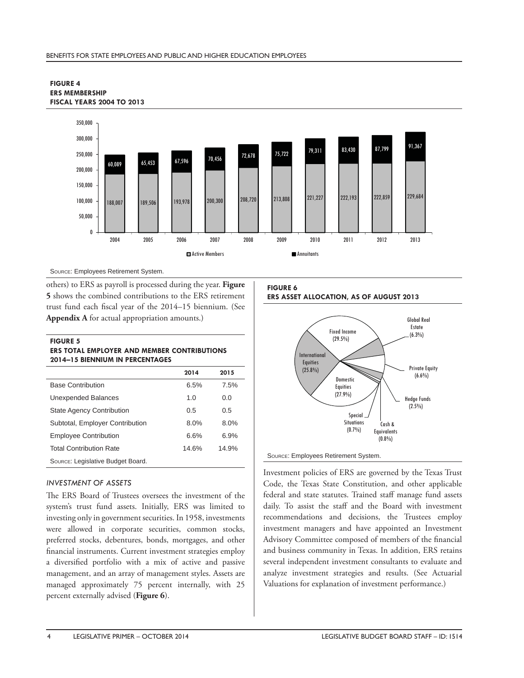#### **FIGURE 4 ERS MEMBERSHIP FISCAL YEARS 2004 TO 2013**



#### SOURCE: Employees Retirement System.

others) to ERS as payroll is processed during the year. **Figure 5** shows the combined contributions to the ERS retirement trust fund each fiscal year of the 2014–15 biennium. (See **Appendix A** for actual appropriation amounts.)

#### **FIGURE 5 ERS TOTAL EMPLOYER AND MEMBER CONTRIBUTIONS 2014–15 BIENNIUM IN PERCENTAGES**

|                                   | 2014  | 2015  |
|-----------------------------------|-------|-------|
| <b>Base Contribution</b>          | 6.5%  | 7.5%  |
| Unexpended Balances               | 1.0   | 0.0   |
| <b>State Agency Contribution</b>  | 0.5   | 0.5   |
| Subtotal, Employer Contribution   | 8.0%  | 8.0%  |
| <b>Employee Contribution</b>      | 6.6%  | 6.9%  |
| <b>Total Contribution Rate</b>    | 14.6% | 14.9% |
| SOURCE: Legislative Budget Board. |       |       |

#### *INVESTMENT OF ASSETS*

The ERS Board of Trustees oversees the investment of the system's trust fund assets. Initially, ERS was limited to investing only in government securities. In 1958, investments were allowed in corporate securities, common stocks, preferred stocks, debentures, bonds, mortgages, and other financial instruments. Current investment strategies employ a diversified portfolio with a mix of active and passive management, and an array of management styles. Assets are managed approximately 75 percent internally, with 25 percent externally advised (**Figure 6**).

#### **FIGURE 6 ERS ASSET ALLOCATION, AS OF AUGUST 2013**



#### SOURCE: Employees Retirement System.

Investment policies of ERS are governed by the Texas Trust Code, the Texas State Constitution, and other applicable federal and state statutes. Trained staff manage fund assets daily. To assist the staff and the Board with investment recommendations and decisions, the Trustees employ investment managers and have appointed an Investment Advisory Committee composed of members of the financial and business community in Texas. In addition, ERS retains several independent investment consultants to evaluate and analyze investment strategies and results. (See Actuarial Valuations for explanation of investment performance.)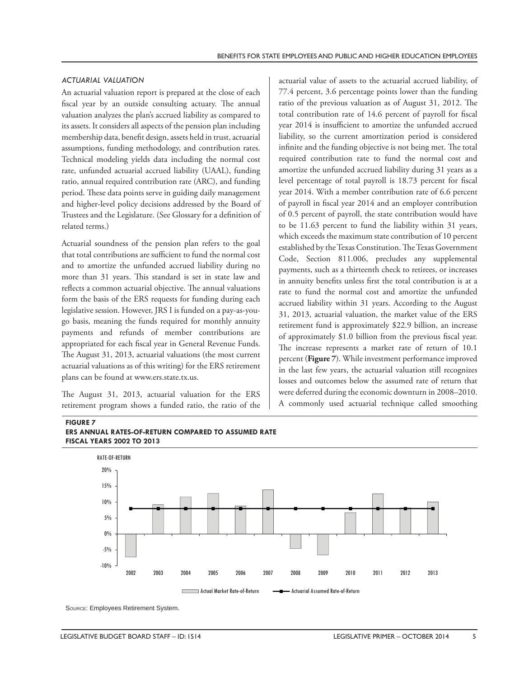#### *ACTUARIAL VALUATION*

An actuarial valuation report is prepared at the close of each fiscal year by an outside consulting actuary. The annual valuation analyzes the plan's accrued liability as compared to its assets. It considers all aspects of the pension plan including membership data, benefit design, assets held in trust, actuarial assumptions, funding methodology, and contribution rates. Technical modeling yields data including the normal cost rate, unfunded actuarial accrued liability (UAAL), funding ratio, annual required contribution rate (ARC), and funding period. These data points serve in guiding daily management and higher-level policy decisions addressed by the Board of Trustees and the Legislature. (See Glossary for a definition of related terms.)

Actuarial soundness of the pension plan refers to the goal that total contributions are sufficient to fund the normal cost and to amortize the unfunded accrued liability during no more than 31 years. This standard is set in state law and reflects a common actuarial objective. The annual valuations form the basis of the ERS requests for funding during each legislative session. However, JRS I is funded on a pay-as-yougo basis, meaning the funds required for monthly annuity payments and refunds of member contributions are appropriated for each fiscal year in General Revenue Funds. The August 31, 2013, actuarial valuations (the most current actuarial valuations as of this writing) for the ERS retirement plans can be found at www.ers.state.tx.us.

The August 31, 2013, actuarial valuation for the ERS retirement program shows a funded ratio, the ratio of the

actuarial value of assets to the actuarial accrued liability, of 77.4 percent, 3.6 percentage points lower than the funding ratio of the previous valuation as of August 31, 2012. The total contribution rate of 14.6 percent of payroll for fiscal year 2014 is insufficient to amortize the unfunded accrued liability, so the current amortization period is considered infinite and the funding objective is not being met. The total required contribution rate to fund the normal cost and amortize the unfunded accrued liability during 31 years as a level percentage of total payroll is 18.73 percent for fiscal year 2014. With a member contribution rate of 6.6 percent of payroll in fiscal year 2014 and an employer contribution of 0.5 percent of payroll, the state contribution would have to be 11.63 percent to fund the liability within 31 years, which exceeds the maximum state contribution of 10 percent established by the Texas Constitution. The Texas Government Code, Section 811.006, precludes any supplemental payments, such as a thirteenth check to retirees, or increases in annuity benefits unless first the total contribution is at a rate to fund the normal cost and amortize the unfunded accrued liability within 31 years. According to the August 31, 2013, actuarial valuation, the market value of the ERS retirement fund is approximately \$22.9 billion, an increase of approximately \$1.0 billion from the previous fiscal year. The increase represents a market rate of return of 10.1 percent (**Figure 7**). While investment performance improved in the last few years, the actuarial valuation still recognizes losses and outcomes below the assumed rate of return that were deferred during the economic downturn in 2008–2010. A commonly used actuarial technique called smoothing





SOURCE: Employees Retirement System.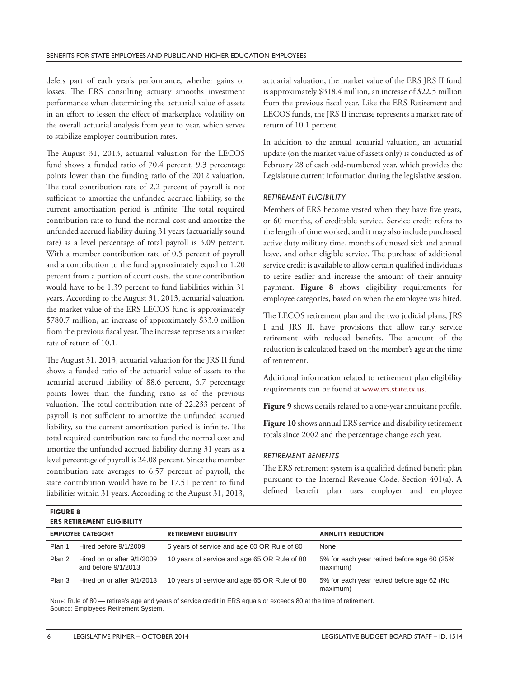defers part of each year's performance, whether gains or losses. The ERS consulting actuary smooths investment performance when determining the actuarial value of assets in an effort to lessen the effect of marketplace volatility on the overall actuarial analysis from year to year, which serves to stabilize employer contribution rates.

The August 31, 2013, actuarial valuation for the LECOS fund shows a funded ratio of 70.4 percent, 9.3 percentage points lower than the funding ratio of the 2012 valuation. The total contribution rate of 2.2 percent of payroll is not sufficient to amortize the unfunded accrued liability, so the current amortization period is infinite. The total required contribution rate to fund the normal cost and amortize the unfunded accrued liability during 31 years (actuarially sound rate) as a level percentage of total payroll is 3.09 percent. With a member contribution rate of 0.5 percent of payroll and a contribution to the fund approximately equal to 1.20 percent from a portion of court costs, the state contribution would have to be 1.39 percent to fund liabilities within 31 years. According to the August 31, 2013, actuarial valuation, the market value of the ERS LECOS fund is approximately \$780.7 million, an increase of approximately \$33.0 million from the previous fiscal year. The increase represents a market rate of return of 10.1.

The August 31, 2013, actuarial valuation for the JRS II fund shows a funded ratio of the actuarial value of assets to the actuarial accrued liability of 88.6 percent, 6.7 percentage points lower than the funding ratio as of the previous valuation. The total contribution rate of 22.233 percent of payroll is not sufficient to amortize the unfunded accrued liability, so the current amortization period is infinite. The total required contribution rate to fund the normal cost and amortize the unfunded accrued liability during 31 years as a level percentage of payroll is 24.08 percent. Since the member contribution rate averages to 6.57 percent of payroll, the state contribution would have to be 17.51 percent to fund liabilities within 31 years. According to the August 31, 2013,

actuarial valuation, the market value of the ERS JRS II fund is approximately \$318.4 million, an increase of \$22.5 million from the previous fiscal year. Like the ERS Retirement and LECOS funds, the JRS II increase represents a market rate of return of 10.1 percent.

In addition to the annual actuarial valuation, an actuarial update (on the market value of assets only) is conducted as of February 28 of each odd-numbered year, which provides the Legislature current information during the legislative session.

#### *RETIREMENT ELIGIBILITY*

Members of ERS become vested when they have five years, or 60 months, of creditable service. Service credit refers to the length of time worked, and it may also include purchased active duty military time, months of unused sick and annual leave, and other eligible service. The purchase of additional service credit is available to allow certain qualified individuals to retire earlier and increase the amount of their annuity payment. **Figure 8** shows eligibility requirements for employee categories, based on when the employee was hired.

The LECOS retirement plan and the two judicial plans, JRS I and JRS II, have provisions that allow early service retirement with reduced benefits. The amount of the reduction is calculated based on the member's age at the time of retirement.

Additional information related to retirement plan eligibility requirements can be found at www.ers.state.tx.us.

**Figure 9** shows details related to a one-year annuitant profile.

**Figure 10** shows annual ERS service and disability retirement totals since 2002 and the percentage change each year.

#### *RETIREMENT BENEFITS*

The ERS retirement system is a qualified defined benefit plan pursuant to the Internal Revenue Code, Section 401(a). A defined benefit plan uses employer and employee

|        | <b>ERS RETIREMENT ELIGIBILITY</b>                   |                                              |                                                         |  |
|--------|-----------------------------------------------------|----------------------------------------------|---------------------------------------------------------|--|
|        | <b>EMPLOYEE CATEGORY</b>                            | <b>RETIREMENT ELIGIBILITY</b>                | <b>ANNUITY REDUCTION</b>                                |  |
| Plan 1 | Hired before 9/1/2009                               | 5 years of service and age 60 OR Rule of 80  | None                                                    |  |
| Plan 2 | Hired on or after 9/1/2009<br>and before $9/1/2013$ | 10 years of service and age 65 OR Rule of 80 | 5% for each year retired before age 60 (25%<br>maximum) |  |
| Plan 3 | Hired on or after 9/1/2013                          | 10 years of service and age 65 OR Rule of 80 | 5% for each year retired before age 62 (No<br>maximum)  |  |

NOTE: Rule of 80 — retiree's age and years of service credit in ERS equals or exceeds 80 at the time of retirement. SOURCE: Employees Retirement System.

**FIGURE 8**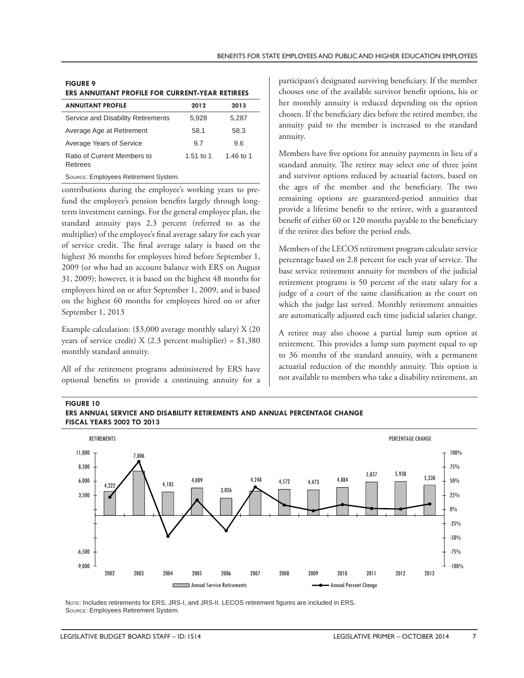| <b>FIGURE 9</b>                                        |  |
|--------------------------------------------------------|--|
| <b>ERS ANNUITANT PROFILE FOR CURRENT-YEAR RETIREES</b> |  |

| <b>ANNUITANT PROFILE</b>                | 2012      | 2013      |  |
|-----------------------------------------|-----------|-----------|--|
| Service and Disability Retirements      | 5,928     | 5,287     |  |
| Average Age at Retirement               | 58.1      | 58.3      |  |
| Average Years of Service                | 9.7       | 9.6       |  |
| Ratio of Current Members to<br>Retirees | 1.51 to 1 | 1.46 to 1 |  |
| SOURCE: Employees Retirement System.    |           |           |  |

contributions during the employee's working years to prefund the employee's pension benefits largely through longterm investment earnings. For the general employee plan, the standard annuity pays 2.3 percent (referred to as the multiplier) of the employee's final average salary for each year of service credit. The final average salary is based on the highest 36 months for employees hired before September 1, 2009 (or who had an account balance with ERS on August 31, 2009); however, it is based on the highest 48 months for employees hired on or after September 1, 2009, and is based on the highest 60 months for employees hired on or after September 1, 2013

Example calculation: (\$3,000 average monthly salary) X (20 years of service credit)  $X$  (2.3 percent multiplier) = \$1,380 monthly standard annuity.

All of the retirement programs administered by ERS have optional benefits to provide a continuing annuity for a

participant's designated surviving beneficiary. If the member chooses one of the available survivor benefit options, his or her monthly annuity is reduced depending on the option chosen. If the beneficiary dies before the retired member, the annuity paid to the member is increased to the standard annuity.

Members have five options for annuity payments in lieu of a standard annuity. The retiree may select one of three joint and survivor options reduced by actuarial factors, based on the ages of the member and the beneficiary. The two remaining options are guaranteed-period annuities that provide a lifetime benefit to the retiree, with a guaranteed benefit of either 60 or 120 months payable to the beneficiary if the retiree dies before the period ends.

Members of the LECOS retirement program calculate service percentage based on 2.8 percent for each year of service. The base service retirement annuity for members of the judicial retirement programs is 50 percent of the state salary for a judge of a court of the same classification as the court on which the judge last served. Monthly retirement annuities are automatically adjusted each time judicial salaries change.

A retiree may also choose a partial lump sum option at retirement. This provides a lump sum payment equal to up to 36 months of the standard annuity, with a permanent actuarial reduction of the monthly annuity. This option is not available to members who take a disability retirement, an





NOTE: Includes retirements for ERS, JRS-I, and JRS-II. LECOS retirement figures are included in ERS. SOURCE: Employees Retirement System.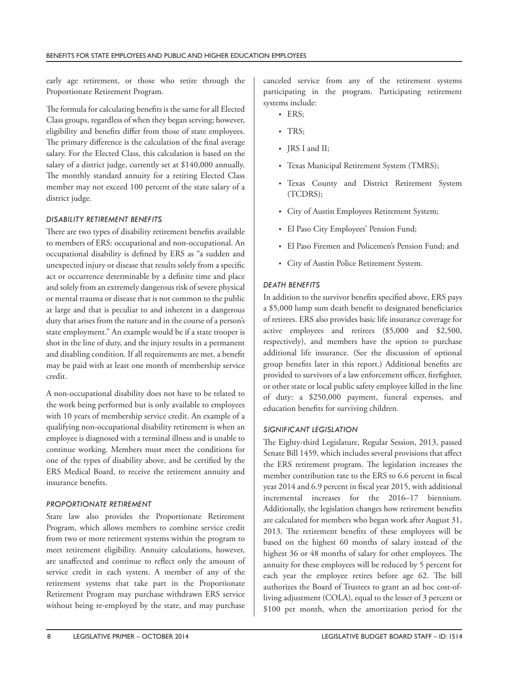early age retirement, or those who retire through the Proportionate Retirement Program.

The formula for calculating benefits is the same for all Elected Class groups, regardless of when they began serving; however, eligibility and benefits differ from those of state employees. The primary difference is the calculation of the final average salary. For the Elected Class, this calculation is based on the salary of a district judge, currently set at \$140,000 annually. The monthly standard annuity for a retiring Elected Class member may not exceed 100 percent of the state salary of a district judge.

# *DISABILITY RETIREMENT BENEFITS*

There are two types of disability retirement benefits available to members of ERS: occupational and non-occupational. An occupational disability is defined by ERS as "a sudden and unexpected injury or disease that results solely from a specific act or occurrence determinable by a definite time and place and solely from an extremely dangerous risk of severe physical or mental trauma or disease that is not common to the public at large and that is peculiar to and inherent in a dangerous duty that arises from the nature and in the course of a person's state employment." An example would be if a state trooper is shot in the line of duty, and the injury results in a permanent and disabling condition. If all requirements are met, a benefit may be paid with at least one month of membership service credit.

A non-occupational disability does not have to be related to the work being performed but is only available to employees with 10 years of membership service credit. An example of a qualifying non-occupational disability retirement is when an employee is diagnosed with a terminal illness and is unable to continue working. Members must meet the conditions for one of the types of disability above, and be certified by the ERS Medical Board, to receive the retirement annuity and insurance benefits.

# *PROPORTIONATE RETIREMENT*

State law also provides the Proportionate Retirement Program, which allows members to combine service credit from two or more retirement systems within the program to meet retirement eligibility. Annuity calculations, however, are unaffected and continue to reflect only the amount of service credit in each system. A member of any of the retirement systems that take part in the Proportionate Retirement Program may purchase withdrawn ERS service without being re-employed by the state, and may purchase

canceled service from any of the retirement systems participating in the program. Participating retirement systems include:

- ERS;
- TRS;
- JRS I and II;
- Texas Municipal Retirement System (TMRS);
- Texas County and District Retirement System (TCDRS);
- City of Austin Employees Retirement System;
- El Paso City Employees' Pension Fund;
- El Paso Firemen and Policemen's Pension Fund; and
- City of Austin Police Retirement System.

# *DEATH BENEFITS*

In addition to the survivor benefits specified above, ERS pays a \$5,000 lump sum death benefit to designated beneficiaries of retirees. ERS also provides basic life insurance coverage for active employees and retirees (\$5,000 and \$2,500, respectively), and members have the option to purchase additional life insurance. (See the discussion of optional group benefits later in this report.) Additional benefits are provided to survivors of a law enforcement officer, firefighter, or other state or local public safety employee killed in the line of duty: a \$250,000 payment, funeral expenses, and education benefits for surviving children.

# *SIGNIFICANT LEGISLATION*

The Eighty-third Legislature, Regular Session, 2013, passed Senate Bill 1459, which includes several provisions that affect the ERS retirement program. The legislation increases the member contribution rate to the ERS to 6.6 percent in fiscal year 2014 and 6.9 percent in fiscal year 2015, with additional incremental increases for the 2016–17 biennium. Additionally, the legislation changes how retirement benefits are calculated for members who began work after August 31, 2013. The retirement benefits of these employees will be based on the highest 60 months of salary instead of the highest 36 or 48 months of salary for other employees. The annuity for these employees will be reduced by 5 percent for each year the employee retires before age 62. The bill authorizes the Board of Trustees to grant an ad hoc cost-ofliving adjustment (COLA), equal to the lesser of 3 percent or \$100 per month, when the amortization period for the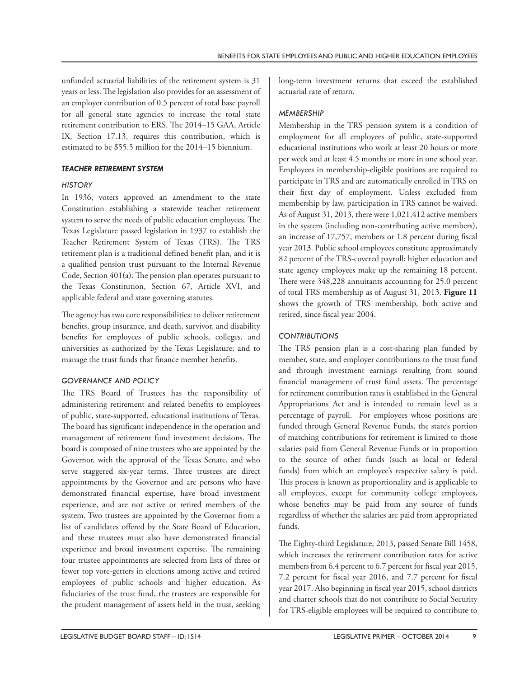unfunded actuarial liabilities of the retirement system is 31 years or less. The legislation also provides for an assessment of an employer contribution of 0.5 percent of total base payroll for all general state agencies to increase the total state retirement contribution to ERS. The 2014–15 GAA, Article IX, Section 17.13, requires this contribution, which is estimated to be \$55.5 million for the 2014–15 biennium.

#### *TEACHER RETIREMENT SYSTEM*

# *HISTORY*

In 1936, voters approved an amendment to the state Constitution establishing a statewide teacher retirement system to serve the needs of public education employees. The Texas Legislature passed legislation in 1937 to establish the Teacher Retirement System of Texas (TRS). The TRS retirement plan is a traditional defined benefit plan, and it is a qualified pension trust pursuant to the Internal Revenue Code, Section  $401(a)$ . The pension plan operates pursuant to the Texas Constitution, Section 67, Article XVI, and applicable federal and state governing statutes.

The agency has two core responsibilities: to deliver retirement benefits, group insurance, and death, survivor, and disability benefits for employees of public schools, colleges, and universities as authorized by the Texas Legislature; and to manage the trust funds that finance member benefits.

# *GOVERNANCE AND POLICY*

The TRS Board of Trustees has the responsibility of administering retirement and related benefits to employees of public, state-supported, educational institutions of Texas. The board has significant independence in the operation and management of retirement fund investment decisions. The board is composed of nine trustees who are appointed by the Governor, with the approval of the Texas Senate, and who serve staggered six-year terms. Three trustees are direct appointments by the Governor and are persons who have demonstrated financial expertise, have broad investment experience, and are not active or retired members of the system. Two trustees are appointed by the Governor from a list of candidates offered by the State Board of Education, and these trustees must also have demonstrated financial experience and broad investment expertise. The remaining four trustee appointments are selected from lists of three or fewer top vote-getters in elections among active and retired employees of public schools and higher education. As fiduciaries of the trust fund, the trustees are responsible for the prudent management of assets held in the trust, seeking

long-term investment returns that exceed the established actuarial rate of return.

# *MEMBERSHIP*

Membership in the TRS pension system is a condition of employment for all employees of public, state-supported educational institutions who work at least 20 hours or more per week and at least 4.5 months or more in one school year. Employees in membership-eligible positions are required to participate in TRS and are automatically enrolled in TRS on their first day of employment. Unless excluded from membership by law, participation in TRS cannot be waived. As of August 31, 2013, there were 1,021,412 active members in the system (including non-contributing active members), an increase of  $17,757$ , members or 1.8 percent during fiscal year 2013. Public school employees constitute approximately 82 percent of the TRS-covered payroll; higher education and state agency employees make up the remaining 18 percent. There were 348,228 annuitants accounting for 25.0 percent of total TRS membership as of August 31, 2013. **Figure 11**  shows the growth of TRS membership, both active and retired, since fiscal year 2004.

# *CONTRIBUTIONS*

The TRS pension plan is a cost-sharing plan funded by member, state, and employer contributions to the trust fund and through investment earnings resulting from sound financial management of trust fund assets. The percentage for retirement contribution rates is established in the General Appropriations Act and is intended to remain level as a percentage of payroll. For employees whose positions are funded through General Revenue Funds, the state's portion of matching contributions for retirement is limited to those salaries paid from General Revenue Funds or in proportion to the source of other funds (such as local or federal funds) from which an employee's respective salary is paid. This process is known as proportionality and is applicable to all employees, except for community college employees, whose benefits may be paid from any source of funds regardless of whether the salaries are paid from appropriated funds.

The Eighty-third Legislature, 2013, passed Senate Bill 1458, which increases the retirement contribution rates for active members from 6.4 percent to 6.7 percent for fiscal year 2015, 7.2 percent for fiscal year 2016, and 7.7 percent for fiscal year 2017. Also beginning in fiscal year 2015, school districts and charter schools that do not contribute to Social Security for TRS-eligible employees will be required to contribute to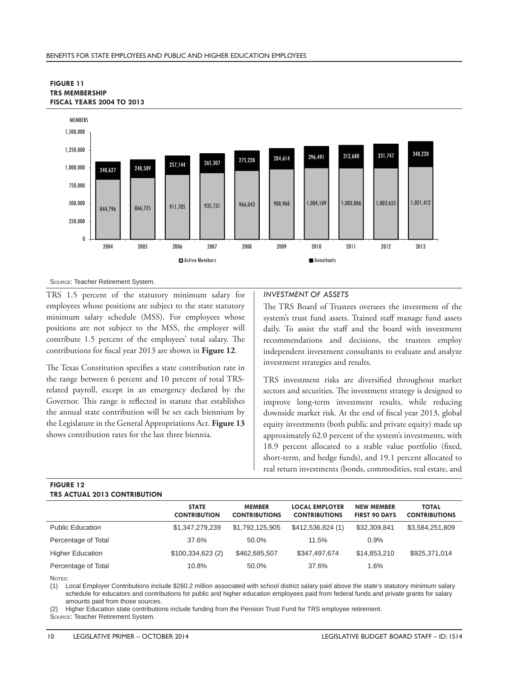

#### **FIGURE 11 TRS MEMBERSHIP FISCAL YEARS 2004 TO 2013**

SOURCE: Teacher Retirement System.

TRS 1.5 percent of the statutory minimum salary for employees whose positions are subject to the state statutory minimum salary schedule (MSS). For employees whose positions are not subject to the MSS, the employer will contribute 1.5 percent of the employees' total salary. The contributions for fiscal year 2013 are shown in Figure 12.

The Texas Constitution specifies a state contribution rate in the range between 6 percent and 10 percent of total TRSrelated payroll, except in an emergency declared by the Governor. This range is reflected in statute that establishes the annual state contribution will be set each biennium by the Legislature in the General Appropriations Act. **Figure 13** shows contribution rates for the last three biennia.

#### *INVESTMENT OF ASSETS*

The TRS Board of Trustees oversees the investment of the system's trust fund assets. Trained staff manage fund assets daily. To assist the staff and the board with investment recommendations and decisions, the trustees employ independent investment consultants to evaluate and analyze investment strategies and results.

TRS investment risks are diversified throughout market sectors and securities. The investment strategy is designed to improve long-term investment results, while reducing downside market risk. At the end of fiscal year 2013, global equity investments (both public and private equity) made up approximately 62.0 percent of the system's investments, with 18.9 percent allocated to a stable value portfolio (fixed, short-term, and hedge funds), and 19.1 percent allocated to real return investments (bonds, commodities, real estate, and

#### **FIGURE 12 TRS ACTUAL 2013 CONTRIBUTION**

|                         | <b>STATE</b><br><b>CONTRIBUTION</b> | <b>MEMBER</b><br><b>CONTRIBUTIONS</b> | <b>LOCAL EMPLOYER</b><br><b>CONTRIBUTIONS</b> | <b>NEW MEMBER</b><br><b>FIRST 90 DAYS</b> | <b>TOTAL</b><br><b>CONTRIBUTIONS</b> |
|-------------------------|-------------------------------------|---------------------------------------|-----------------------------------------------|-------------------------------------------|--------------------------------------|
| <b>Public Education</b> | \$1,347,279,239                     | \$1,792,125,905                       | \$412,536,824 (1)                             | \$32,309,841                              | \$3,584,251,809                      |
| Percentage of Total     | 37.6%                               | 50.0%                                 | 11.5%                                         | 0.9%                                      |                                      |
| <b>Higher Education</b> | \$100,334,623(2)                    | \$462,685,507                         | \$347,497,674                                 | \$14,853,210                              | \$925,371,014                        |
| Percentage of Total     | 10.8%                               | 50.0%                                 | 37.6%                                         | 1.6%                                      |                                      |

NOTES:

(1) Local Employer Contributions include \$260.2 million associated with school district salary paid above the state's statutory minimum salary schedule for educators and contributions for public and higher education employees paid from federal funds and private grants for salary amounts paid from those sources.

(2) Higher Education state contributions include funding from the Pension Trust Fund for TRS employee retirement.

SOURCE: Teacher Retirement System.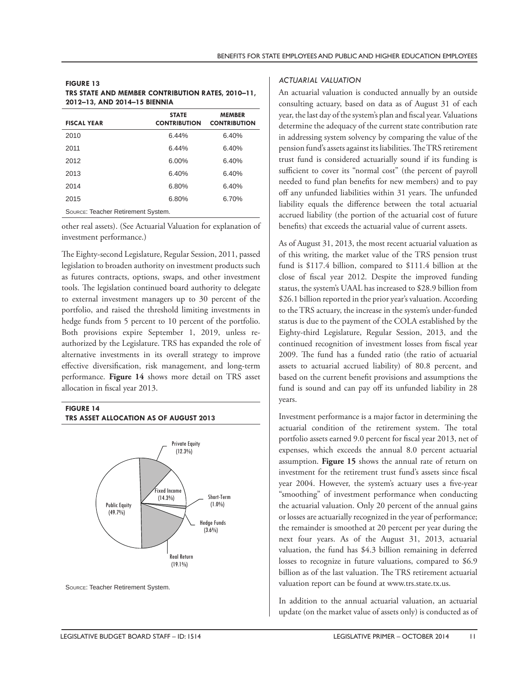| <b>FIGURE 13</b>                                  |
|---------------------------------------------------|
| TRS STATE AND MEMBER CONTRIBUTION RATES, 2010-11, |
| 2012-13, AND 2014-15 BIENNIA                      |

| <b>FISCAL YEAR</b>                 | <b>STATE</b><br><b>CONTRIBUTION</b> | <b>MEMBER</b><br><b>CONTRIBUTION</b> |
|------------------------------------|-------------------------------------|--------------------------------------|
| 2010                               | 6.44%                               | 6.40%                                |
| 2011                               | 6.44%                               | 6.40%                                |
| 2012                               | $6.00\%$                            | 6.40%                                |
| 2013                               | 6.40%                               | 6.40%                                |
| 2014                               | 6.80%                               | 6.40%                                |
| 2015                               | 6.80%                               | 6.70%                                |
| SOURCE: Teacher Retirement System. |                                     |                                      |

other real assets). (See Actuarial Valuation for explanation of investment performance.)

The Eighty-second Legislature, Regular Session, 2011, passed legislation to broaden authority on investment products such as futures contracts, options, swaps, and other investment tools. The legislation continued board authority to delegate to external investment managers up to 30 percent of the portfolio, and raised the threshold limiting investments in hedge funds from 5 percent to 10 percent of the portfolio. Both provisions expire September 1, 2019, unless reauthorized by the Legislature. TRS has expanded the role of alternative investments in its overall strategy to improve effective diversification, risk management, and long-term performance. **Figure 14** shows more detail on TRS asset allocation in fiscal year 2013.

#### **FIGURE 14 TRS ASSET ALLOCATION AS OF AUGUST 2013**



SOURCE: Teacher Retirement System.

#### *ACTUARIAL VALUATION*

An actuarial valuation is conducted annually by an outside consulting actuary, based on data as of August 31 of each year, the last day of the system's plan and fiscal year. Valuations determine the adequacy of the current state contribution rate in addressing system solvency by comparing the value of the pension fund's assets against its liabilities. The TRS retirement trust fund is considered actuarially sound if its funding is sufficient to cover its "normal cost" (the percent of payroll needed to fund plan benefits for new members) and to pay off any unfunded liabilities within 31 years. The unfunded liability equals the difference between the total actuarial accrued liability (the portion of the actuarial cost of future benefits) that exceeds the actuarial value of current assets.

As of August 31, 2013, the most recent actuarial valuation as of this writing, the market value of the TRS pension trust fund is \$117.4 billion, compared to \$111.4 billion at the close of fiscal year 2012. Despite the improved funding status, the system's UAAL has increased to \$28.9 billion from \$26.1 billion reported in the prior year's valuation. According to the TRS actuary, the increase in the system's under-funded status is due to the payment of the COLA established by the Eighty-third Legislature, Regular Session, 2013, and the continued recognition of investment losses from fiscal year 2009. The fund has a funded ratio (the ratio of actuarial assets to actuarial accrued liability) of 80.8 percent, and based on the current benefit provisions and assumptions the fund is sound and can pay off its unfunded liability in 28 years.

Investment performance is a major factor in determining the actuarial condition of the retirement system. The total portfolio assets earned 9.0 percent for fiscal year 2013, net of expenses, which exceeds the annual 8.0 percent actuarial assumption. **Figure 15** shows the annual rate of return on investment for the retirement trust fund's assets since fiscal year 2004. However, the system's actuary uses a five-year "smoothing" of investment performance when conducting the actuarial valuation. Only 20 percent of the annual gains or losses are actuarially recognized in the year of performance; the remainder is smoothed at 20 percent per year during the next four years. As of the August 31, 2013, actuarial valuation, the fund has \$4.3 billion remaining in deferred losses to recognize in future valuations, compared to \$6.9 billion as of the last valuation. The TRS retirement actuarial valuation report can be found at www.trs.state.tx.us.

In addition to the annual actuarial valuation, an actuarial update (on the market value of assets only) is conducted as of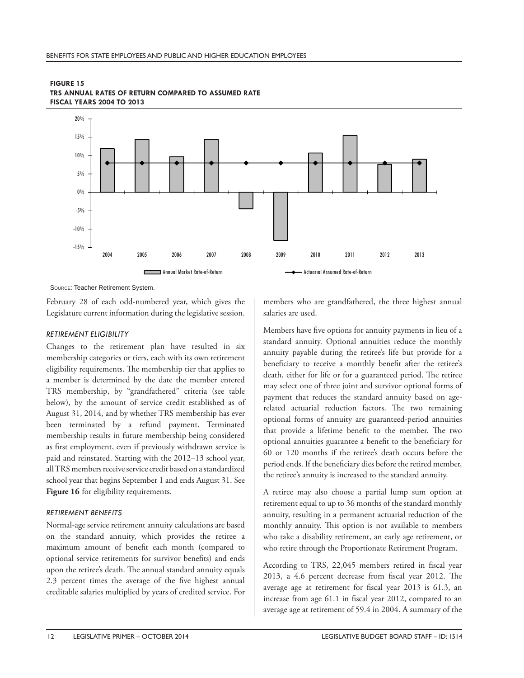

**FIGURE 15 TRS ANNUAL RATES OF RETURN COMPARED TO ASSUMED RATE FISCAL YEARS 2004 TO 2013**

SOURCE: Teacher Retirement System.

February 28 of each odd-numbered year, which gives the Legislature current information during the legislative session.

#### *RETIREMENT ELIGIBILITY*

Changes to the retirement plan have resulted in six membership categories or tiers, each with its own retirement eligibility requirements. The membership tier that applies to a member is determined by the date the member entered TRS membership, by "grandfathered" criteria (see table below), by the amount of service credit established as of August 31, 2014, and by whether TRS membership has ever been terminated by a refund payment. Terminated membership results in future membership being considered as first employment, even if previously withdrawn service is paid and reinstated. Starting with the 2012–13 school year, all TRS members receive service credit based on a standardized school year that begins September 1 and ends August 31. See Figure 16 for eligibility requirements.

#### *RETIREMENT BENEFITS*

Normal-age service retirement annuity calculations are based on the standard annuity, which provides the retiree a maximum amount of benefit each month (compared to optional service retirements for survivor benefits) and ends upon the retiree's death. The annual standard annuity equals 2.3 percent times the average of the five highest annual creditable salaries multiplied by years of credited service. For

members who are grandfathered, the three highest annual salaries are used.

Members have five options for annuity payments in lieu of a standard annuity. Optional annuities reduce the monthly annuity payable during the retiree's life but provide for a beneficiary to receive a monthly benefit after the retiree's death, either for life or for a guaranteed period. The retiree may select one of three joint and survivor optional forms of payment that reduces the standard annuity based on agerelated actuarial reduction factors. The two remaining optional forms of annuity are guaranteed-period annuities that provide a lifetime benefit to the member. The two optional annuities guarantee a benefit to the beneficiary for 60 or 120 months if the retiree's death occurs before the period ends. If the beneficiary dies before the retired member, the retiree's annuity is increased to the standard annuity.

A retiree may also choose a partial lump sum option at retirement equal to up to 36 months of the standard monthly annuity, resulting in a permanent actuarial reduction of the monthly annuity. This option is not available to members who take a disability retirement, an early age retirement, or who retire through the Proportionate Retirement Program.

According to TRS, 22,045 members retired in fiscal year  $2013$ , a 4.6 percent decrease from fiscal year  $2012$ . The average age at retirement for fiscal year 2013 is 61.3, an increase from age 61.1 in fiscal year 2012, compared to an average age at retirement of 59.4 in 2004. A summary of the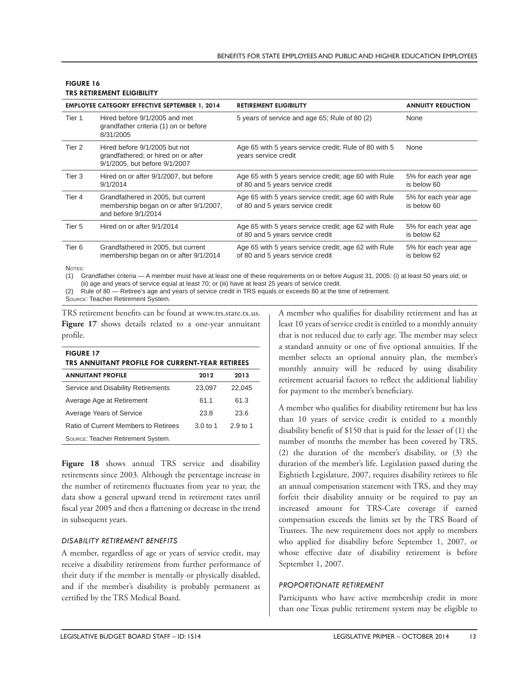|                   | <b>EMPLOYEE CATEGORY EFFECTIVE SEPTEMBER 1, 2014</b>                                                  | <b>RETIREMENT ELIGIBILITY</b>                                                            | <b>ANNUITY REDUCTION</b>            |  |
|-------------------|-------------------------------------------------------------------------------------------------------|------------------------------------------------------------------------------------------|-------------------------------------|--|
| Tier 1            | Hired before 9/1/2005 and met<br>grandfather criteria (1) on or before<br>8/31/2005                   | 5 years of service and age 65; Rule of 80 (2)                                            | None                                |  |
| Tier <sub>2</sub> | Hired before 9/1/2005 but not<br>grandfathered; or hired on or after<br>9/1/2005, but before 9/1/2007 | Age 65 with 5 years service credit; Rule of 80 with 5<br>years service credit            | None                                |  |
| Tier 3            | Hired on or after 9/1/2007, but before<br>9/1/2014                                                    | Age 65 with 5 years service credit; age 60 with Rule<br>of 80 and 5 years service credit | 5% for each year age<br>is below 60 |  |
| Tier 4            | Grandfathered in 2005, but current<br>membership began on or after 9/1/2007,<br>and before 9/1/2014   | Age 65 with 5 years service credit; age 60 with Rule<br>of 80 and 5 years service credit | 5% for each year age<br>is below 60 |  |
| Tier 5            | Hired on or after 9/1/2014                                                                            | Age 65 with 5 years service credit; age 62 with Rule<br>of 80 and 5 years service credit | 5% for each year age<br>is below 62 |  |
| Tier 6            | Grandfathered in 2005, but current<br>membership began on or after 9/1/2014                           | Age 65 with 5 years service credit; age 62 with Rule<br>of 80 and 5 years service credit | 5% for each year age<br>is below 62 |  |
| NOTES:            |                                                                                                       |                                                                                          |                                     |  |

#### **FIGURE 16 TRS RETIREMENT ELIGIBILITY**

(1) Grandfather criteria — A member must have at least one of these requirements on or before August 31, 2005: (i) at least 50 years old; or (ii) age and years of service equal at least 70; or (iii) have at least 25 years of service credit.

Rule of 80 — Retiree's age and years of service credit in TRS equals or exceeds 80 at the time of retirement.

SOURCE: Teacher Retirement System.

TRS retirement benefits can be found at www.trs.state.tx.us. Figure 17 shows details related to a one-year annuitant profile.

| <b>FIGURE 17</b><br>TRS ANNUITANT PROFILE FOR CURRENT-YEAR RETIREES |                     |            |  |
|---------------------------------------------------------------------|---------------------|------------|--|
| <b>ANNUITANT PROFILE</b>                                            | 2012                | 2013       |  |
| Service and Disability Retirements                                  | 23,097              | 22.045     |  |
| Average Age at Retirement                                           | 61.1                | 61.3       |  |
| Average Years of Service                                            | 23.8                | 23.6       |  |
| Ratio of Current Members to Retirees                                | $3.0 \text{ to } 1$ | $2.9$ to 1 |  |
| SOURCE: Teacher Retirement System.                                  |                     |            |  |

**Figure 18** shows annual TRS service and disability retirements since 2003. Although the percentage increase in the number of retirements fluctuates from year to year, the data show a general upward trend in retirement rates until fiscal year 2005 and then a flattening or decrease in the trend in subsequent years.

# *DISABILITY RETIREMENT BENEFITS*

A member, regardless of age or years of service credit, may receive a disability retirement from further performance of their duty if the member is mentally or physically disabled, and if the member's disability is probably permanent as certified by the TRS Medical Board.

A member who qualifies for disability retirement and has at least 10 years of service credit is entitled to a monthly annuity that is not reduced due to early age. The member may select a standard annuity or one of five optional annuities. If the member selects an optional annuity plan, the member's monthly annuity will be reduced by using disability retirement actuarial factors to reflect the additional liability for payment to the member's beneficiary.

A member who qualifies for disability retirement but has less than 10 years of service credit is entitled to a monthly disability benefit of  $$150$  that is paid for the lesser of (1) the number of months the member has been covered by TRS, (2) the duration of the member's disability, or (3) the duration of the member's life. Legislation passed during the Eightieth Legislature, 2007, requires disability retirees to file an annual compensation statement with TRS, and they may forfeit their disability annuity or be required to pay an increased amount for TRS-Care coverage if earned compensation exceeds the limits set by the TRS Board of Trustees. The new requirement does not apply to members who applied for disability before September 1, 2007, or whose effective date of disability retirement is before September 1, 2007.

#### *PROPORTIONATE RETIREMENT*

Participants who have active membership credit in more than one Texas public retirement system may be eligible to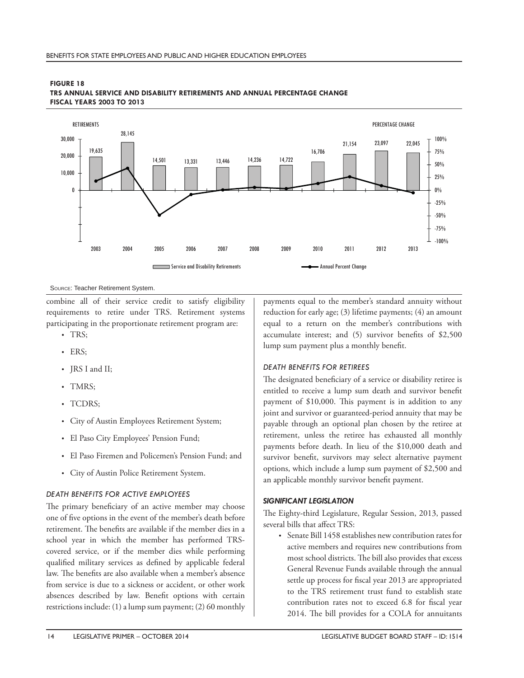

#### **FIGURE 18 TRS ANNUAL SERVICE AND DISABILITY RETIREMENTS AND ANNUAL PERCENTAGE CHANGE FISCAL YEARS 2003 TO 2013**

SOURCE: Teacher Retirement System.

combine all of their service credit to satisfy eligibility requirements to retire under TRS. Retirement systems participating in the proportionate retirement program are:

- TRS;
- ERS;
- JRS I and II;
- TMRS;
- TCDRS;
- City of Austin Employees Retirement System;
- El Paso City Employees' Pension Fund;
- El Paso Firemen and Policemen's Pension Fund; and
- City of Austin Police Retirement System.

# *DEATH BENEFITS FOR ACTIVE EMPLOYEES*

The primary beneficiary of an active member may choose one of five options in the event of the member's death before retirement. The benefits are available if the member dies in a school year in which the member has performed TRScovered service, or if the member dies while performing qualified military services as defined by applicable federal law. The benefits are also available when a member's absence from service is due to a sickness or accident, or other work absences described by law. Benefit options with certain restrictions include: (1) a lump sum payment; (2) 60 monthly

payments equal to the member's standard annuity without reduction for early age; (3) lifetime payments; (4) an amount equal to a return on the member's contributions with accumulate interest; and (5) survivor benefits of \$2,500 lump sum payment plus a monthly benefit.

# *DEATH BENEFITS FOR RETIREES*

The designated beneficiary of a service or disability retiree is entitled to receive a lump sum death and survivor benefit payment of  $$10,000$ . This payment is in addition to any joint and survivor or guaranteed-period annuity that may be payable through an optional plan chosen by the retiree at retirement, unless the retiree has exhausted all monthly payments before death. In lieu of the \$10,000 death and survivor benefit, survivors may select alternative payment options, which include a lump sum payment of \$2,500 and an applicable monthly survivor benefit payment.

# *SIGNIFICANT LEGISLATION*

The Eighty-third Legislature, Regular Session, 2013, passed several bills that affect TRS:

• Senate Bill 1458 establishes new contribution rates for active members and requires new contributions from most school districts. The bill also provides that excess General Revenue Funds available through the annual settle up process for fiscal year 2013 are appropriated to the TRS retirement trust fund to establish state contribution rates not to exceed 6.8 for fiscal year 2014. The bill provides for a COLA for annuitants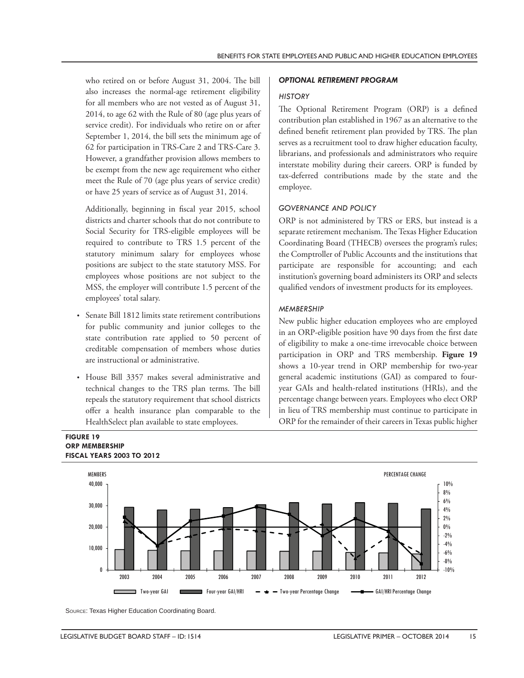who retired on or before August 31, 2004. The bill also increases the normal-age retirement eligibility for all members who are not vested as of August 31, 2014, to age 62 with the Rule of 80 (age plus years of service credit). For individuals who retire on or after September 1, 2014, the bill sets the minimum age of 62 for participation in TRS-Care 2 and TRS-Care 3. However, a grandfather provision allows members to be exempt from the new age requirement who either meet the Rule of 70 (age plus years of service credit) or have 25 years of service as of August 31, 2014.

Additionally, beginning in fiscal year 2015, school districts and charter schools that do not contribute to Social Security for TRS-eligible employees will be required to contribute to TRS 1.5 percent of the statutory minimum salary for employees whose positions are subject to the state statutory MSS. For employees whose positions are not subject to the MSS, the employer will contribute 1.5 percent of the employees' total salary.

- Senate Bill 1812 limits state retirement contributions for public community and junior colleges to the state contribution rate applied to 50 percent of creditable compensation of members whose duties are instructional or administrative.
- House Bill 3357 makes several administrative and technical changes to the TRS plan terms. The bill repeals the statutory requirement that school districts offer a health insurance plan comparable to the HealthSelect plan available to state employees.

#### *OPTIONAL RETIREMENT PROGRAM*

#### *HISTORY*

The Optional Retirement Program (ORP) is a defined contribution plan established in 1967 as an alternative to the defined benefit retirement plan provided by TRS. The plan serves as a recruitment tool to draw higher education faculty, librarians, and professionals and administrators who require interstate mobility during their careers. ORP is funded by tax-deferred contributions made by the state and the employee.

#### *GOVERNANCE AND POLICY*

ORP is not administered by TRS or ERS, but instead is a separate retirement mechanism. The Texas Higher Education Coordinating Board (THECB) oversees the program's rules; the Comptroller of Public Accounts and the institutions that participate are responsible for accounting; and each institution's governing board administers its ORP and selects qualified vendors of investment products for its employees.

#### *MEMBERSHIP*

New public higher education employees who are employed in an ORP-eligible position have 90 days from the first date of eligibility to make a one-time irrevocable choice between participation in ORP and TRS membership. **Figure 19** shows a 10-year trend in ORP membership for two-year general academic institutions (GAI) as compared to fouryear GAIs and health-related institutions (HRIs), and the percentage change between years. Employees who elect ORP in lieu of TRS membership must continue to participate in ORP for the remainder of their careers in Texas public higher

#### **FIGURE 19 ORP MEMBERSHIP FISCAL YEARS 2003 TO 2012**



SOURCE: Texas Higher Education Coordinating Board.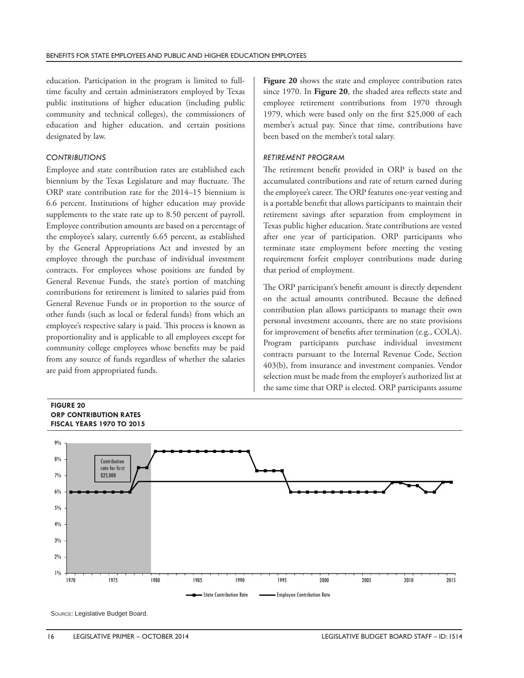education. Participation in the program is limited to fulltime faculty and certain administrators employed by Texas public institutions of higher education (including public community and technical colleges), the commissioners of education and higher education, and certain positions designated by law.

#### *CONTRIBUTIONS*

Employee and state contribution rates are established each biennium by the Texas Legislature and may fluctuate. The ORP state contribution rate for the 2014–15 biennium is 6.6 percent. Institutions of higher education may provide supplements to the state rate up to 8.50 percent of payroll. Employee contribution amounts are based on a percentage of the employee's salary, currently 6.65 percent, as established by the General Appropriations Act and invested by an employee through the purchase of individual investment contracts. For employees whose positions are funded by General Revenue Funds, the state's portion of matching contributions for retirement is limited to salaries paid from General Revenue Funds or in proportion to the source of other funds (such as local or federal funds) from which an employee's respective salary is paid. This process is known as proportionality and is applicable to all employees except for community college employees whose benefits may be paid from any source of funds regardless of whether the salaries are paid from appropriated funds.

**Figure 20** shows the state and employee contribution rates since 1970. In Figure 20, the shaded area reflects state and employee retirement contributions from 1970 through 1979, which were based only on the first  $$25,000$  of each member's actual pay. Since that time, contributions have been based on the member's total salary.

#### *RETIREMENT PROGRAM*

The retirement benefit provided in ORP is based on the accumulated contributions and rate of return earned during the employee's career. The ORP features one-year vesting and is a portable benefit that allows participants to maintain their retirement savings after separation from employment in Texas public higher education. State contributions are vested after one year of participation. ORP participants who terminate state employment before meeting the vesting requirement forfeit employer contributions made during that period of employment.

The ORP participant's benefit amount is directly dependent on the actual amounts contributed. Because the defined contribution plan allows participants to manage their own personal investment accounts, there are no state provisions for improvement of benefits after termination (e.g., COLA). Program participants purchase individual investment contracts pursuant to the Internal Revenue Code, Section 403(b), from insurance and investment companies. Vendor selection must be made from the employer's authorized list at the same time that ORP is elected. ORP participants assume



**ORP CONTRIBUTION RATES**

**FIGURE 20**

SOURCE: Legislative Budget Board.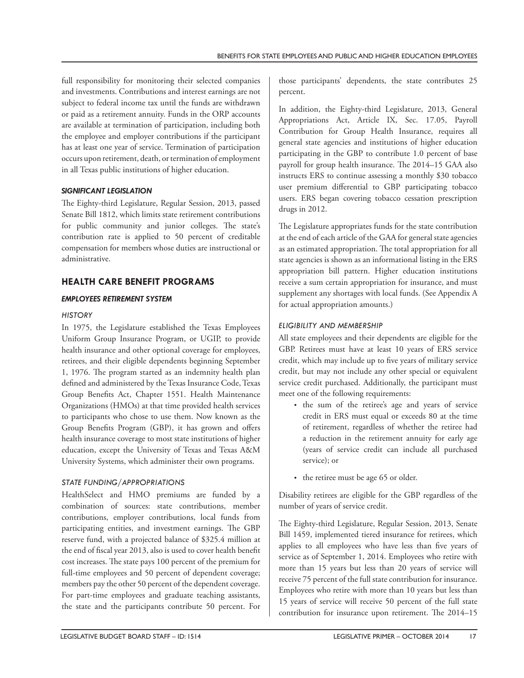full responsibility for monitoring their selected companies and investments. Contributions and interest earnings are not subject to federal income tax until the funds are withdrawn or paid as a retirement annuity. Funds in the ORP accounts are available at termination of participation, including both the employee and employer contributions if the participant has at least one year of service. Termination of participation occurs upon retirement, death, or termination of employment in all Texas public institutions of higher education.

# *SIGNIFICANT LEGISLATION*

The Eighty-third Legislature, Regular Session, 2013, passed Senate Bill 1812, which limits state retirement contributions for public community and junior colleges. The state's contribution rate is applied to 50 percent of creditable compensation for members whose duties are instructional or administrative.

# **HEALTH CARE BENEFIT PROGRAMS**

# *EMPLOYEES RETIREMENT SYSTEM*

#### *HISTORY*

In 1975, the Legislature established the Texas Employees Uniform Group Insurance Program, or UGIP, to provide health insurance and other optional coverage for employees, retirees, and their eligible dependents beginning September 1, 1976. The program started as an indemnity health plan defined and administered by the Texas Insurance Code, Texas Group Benefits Act, Chapter 1551. Health Maintenance Organizations (HMOs) at that time provided health services to participants who chose to use them. Now known as the Group Benefits Program (GBP), it has grown and offers health insurance coverage to most state institutions of higher education, except the University of Texas and Texas A&M University Systems, which administer their own programs.

#### *STATE FUNDING/APPROPRIATIONS*

HealthSelect and HMO premiums are funded by a combination of sources: state contributions, member contributions, employer contributions, local funds from participating entities, and investment earnings. The GBP reserve fund, with a projected balance of \$325.4 million at the end of fiscal year 2013, also is used to cover health benefit cost increases. The state pays 100 percent of the premium for full-time employees and 50 percent of dependent coverage; members pay the other 50 percent of the dependent coverage. For part-time employees and graduate teaching assistants, the state and the participants contribute 50 percent. For

those participants' dependents, the state contributes 25 percent.

In addition, the Eighty-third Legislature, 2013, General Appropriations Act, Article IX, Sec. 17.05, Payroll Contribution for Group Health Insurance, requires all general state agencies and institutions of higher education participating in the GBP to contribute 1.0 percent of base payroll for group health insurance. The 2014–15 GAA also instructs ERS to continue assessing a monthly \$30 tobacco user premium differential to GBP participating tobacco users. ERS began covering tobacco cessation prescription drugs in 2012.

The Legislature appropriates funds for the state contribution at the end of each article of the GAA for general state agencies as an estimated appropriation. The total appropriation for all state agencies is shown as an informational listing in the ERS appropriation bill pattern. Higher education institutions receive a sum certain appropriation for insurance, and must supplement any shortages with local funds. (See Appendix A for actual appropriation amounts.)

# *ELIGIBILITY AND MEMBERSHIP*

All state employees and their dependents are eligible for the GBP. Retirees must have at least 10 years of ERS service credit, which may include up to five years of military service credit, but may not include any other special or equivalent service credit purchased. Additionally, the participant must meet one of the following requirements:

- the sum of the retiree's age and years of service credit in ERS must equal or exceeds 80 at the time of retirement, regardless of whether the retiree had a reduction in the retirement annuity for early age (years of service credit can include all purchased service); or
- the retiree must be age 65 or older.

Disability retirees are eligible for the GBP regardless of the number of years of service credit.

The Eighty-third Legislature, Regular Session, 2013, Senate Bill 1459, implemented tiered insurance for retirees, which applies to all employees who have less than five years of service as of September 1, 2014. Employees who retire with more than 15 years but less than 20 years of service will receive 75 percent of the full state contribution for insurance. Employees who retire with more than 10 years but less than 15 years of service will receive 50 percent of the full state contribution for insurance upon retirement. The 2014–15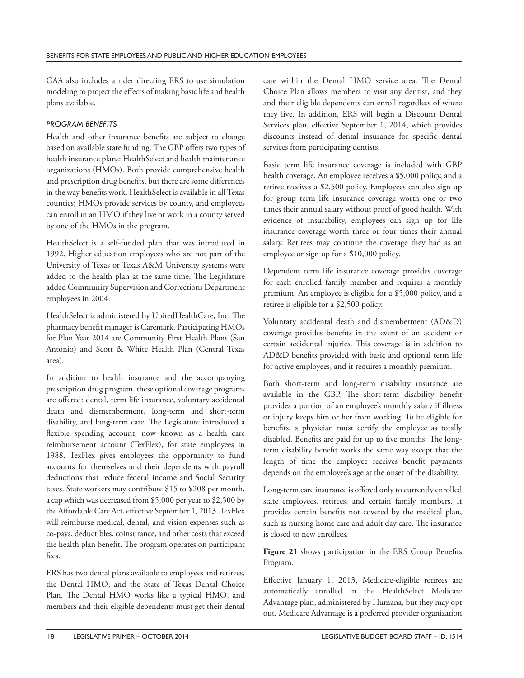GAA also includes a rider directing ERS to use simulation modeling to project the effects of making basic life and health plans available.

# *PROGRAM BENEFITS*

Health and other insurance benefits are subject to change based on available state funding. The GBP offers two types of health insurance plans: HealthSelect and health maintenance organizations (HMOs). Both provide comprehensive health and prescription drug benefits, but there are some differences in the way benefits work. HealthSelect is available in all Texas counties; HMOs provide services by county, and employees can enroll in an HMO if they live or work in a county served by one of the HMOs in the program.

HealthSelect is a self-funded plan that was introduced in 1992. Higher education employees who are not part of the University of Texas or Texas A&M University systems were added to the health plan at the same time. The Legislature added Community Supervision and Corrections Department employees in 2004.

HealthSelect is administered by UnitedHealthCare, Inc. The pharmacy benefit manager is Caremark. Participating HMOs for Plan Year 2014 are Community First Health Plans (San Antonio) and Scott & White Health Plan (Central Texas area).

In addition to health insurance and the accompanying prescription drug program, these optional coverage programs are offered: dental, term life insurance, voluntary accidental death and dismemberment, long-term and short-term disability, and long-term care. The Legislature introduced a flexible spending account, now known as a health care reimbursement account (TexFlex), for state employees in 1988. TexFlex gives employees the opportunity to fund accounts for themselves and their dependents with payroll deductions that reduce federal income and Social Security taxes. State workers may contribute \$15 to \$208 per month, a cap which was decreased from \$5,000 per year to \$2,500 by the Affordable Care Act, effective September 1, 2013. TexFlex will reimburse medical, dental, and vision expenses such as co-pays, deductibles, coinsurance, and other costs that exceed the health plan benefit. The program operates on participant fees.

ERS has two dental plans available to employees and retirees, the Dental HMO, and the State of Texas Dental Choice Plan. The Dental HMO works like a typical HMO, and members and their eligible dependents must get their dental

care within the Dental HMO service area. The Dental Choice Plan allows members to visit any dentist, and they and their eligible dependents can enroll regardless of where they live. In addition, ERS will begin a Discount Dental Services plan, effective September 1, 2014, which provides discounts instead of dental insurance for specific dental services from participating dentists.

Basic term life insurance coverage is included with GBP health coverage. An employee receives a \$5,000 policy, and a retiree receives a \$2,500 policy. Employees can also sign up for group term life insurance coverage worth one or two times their annual salary without proof of good health. With evidence of insurability, employees can sign up for life insurance coverage worth three or four times their annual salary. Retirees may continue the coverage they had as an employee or sign up for a \$10,000 policy.

Dependent term life insurance coverage provides coverage for each enrolled family member and requires a monthly premium. An employee is eligible for a \$5,000 policy, and a retiree is eligible for a \$2,500 policy.

Voluntary accidental death and dismemberment (AD&D) coverage provides benefits in the event of an accident or certain accidental injuries. This coverage is in addition to AD&D benefits provided with basic and optional term life for active employees, and it requires a monthly premium.

Both short-term and long-term disability insurance are available in the GBP. The short-term disability benefit provides a portion of an employee's monthly salary if illness or injury keeps him or her from working. To be eligible for benefits, a physician must certify the employee as totally disabled. Benefits are paid for up to five months. The longterm disability benefit works the same way except that the length of time the employee receives benefit payments depends on the employee's age at the onset of the disability.

Long-term care insurance is offered only to currently enrolled state employees, retirees, and certain family members. It provides certain benefits not covered by the medical plan, such as nursing home care and adult day care. The insurance is closed to new enrollees.

Figure 21 shows participation in the ERS Group Benefits Program.

Effective January 1, 2013, Medicare-eligible retirees are automatically enrolled in the HealthSelect Medicare Advantage plan, administered by Humana, but they may opt out. Medicare Advantage is a preferred provider organization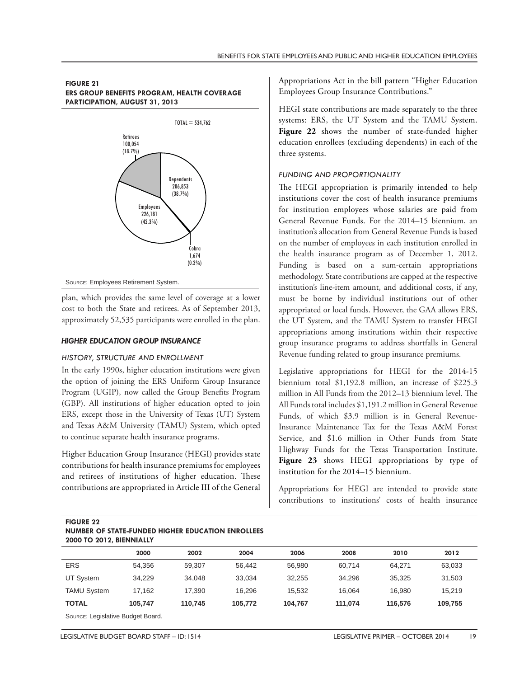#### **FIGURE 21 ERS GROUP BENEFITS PROGRAM, HEALTH COVERAGE PARTICIPATION, AUGUST 31, 2013**



SOURCE: Employees Retirement System.

plan, which provides the same level of coverage at a lower cost to both the State and retirees. As of September 2013, approximately 52,535 participants were enrolled in the plan.

#### *HIGHER EDUCATION GROUP INSURANCE*

#### *HISTORY, STRUCTURE AND ENROLLMENT*

In the early 1990s, higher education institutions were given the option of joining the ERS Uniform Group Insurance Program (UGIP), now called the Group Benefits Program (GBP). All institutions of higher education opted to join ERS, except those in the University of Texas (UT) System and Texas A&M University (TAMU) System, which opted to continue separate health insurance programs.

Higher Education Group Insurance (HEGI) provides state contributions for health insurance premiums for employees and retirees of institutions of higher education. These contributions are appropriated in Article III of the General

Appropriations Act in the bill pattern "Higher Education Employees Group Insurance Contributions."

HEGI state contributions are made separately to the three systems: ERS, the UT System and the TAMU System. **Figure 22** shows the number of state-funded higher education enrollees (excluding dependents) in each of the three systems.

#### *FUNDING AND PROPORTIONALITY*

The HEGI appropriation is primarily intended to help institutions cover the cost of health insurance premiums for institution employees whose salaries are paid from General Revenue Funds. For the 2014–15 biennium, an institution's allocation from General Revenue Funds is based on the number of employees in each institution enrolled in the health insurance program as of December 1, 2012. Funding is based on a sum-certain appropriations methodology. State contributions are capped at the respective institution's line-item amount, and additional costs, if any, must be borne by individual institutions out of other appropriated or local funds. However, the GAA allows ERS, the UT System, and the TAMU System to transfer HEGI appropriations among institutions within their respective group insurance programs to address shortfalls in General Revenue funding related to group insurance premiums.

Legislative appropriations for HEGI for the 2014-15 biennium total \$1,192.8 million, an increase of \$225.3 million in All Funds from the 2012–13 biennium level. The All Funds total includes \$1,191.2 million in General Revenue Funds, of which \$3.9 million is in General Revenue-Insurance Maintenance Tax for the Texas A&M Forest Service, and \$1.6 million in Other Funds from State Highway Funds for the Texas Transportation Institute. **Figure 23** shows HEGI appropriations by type of institution for the 2014–15 biennium.

Appropriations for HEGI are intended to provide state contributions to institutions' costs of health insurance

| <b>FIGURE 22</b>                                  |
|---------------------------------------------------|
| NUMBER OF STATE-FUNDED HIGHER EDUCATION ENROLLEES |
| <b>2000 TO 2012, BIENNIALLY</b>                   |

| AVVV IV AVIA, DIEITITIKEL |         |         |         |         |         |         |         |  |
|---------------------------|---------|---------|---------|---------|---------|---------|---------|--|
|                           | 2000    | 2002    | 2004    | 2006    | 2008    | 2010    | 2012    |  |
| <b>ERS</b>                | 54.356  | 59,307  | 56.442  | 56.980  | 60,714  | 64.271  | 63,033  |  |
| UT System                 | 34.229  | 34.048  | 33.034  | 32.255  | 34.296  | 35.325  | 31,503  |  |
| <b>TAMU System</b>        | 17.162  | 17.390  | 16.296  | 15.532  | 16.064  | 16.980  | 15.219  |  |
| <b>TOTAL</b>              | 105.747 | 110.745 | 105.772 | 104.767 | 111.074 | 116,576 | 109,755 |  |
| $\sim$                    |         |         |         |         |         |         |         |  |

SOURCE: Legislative Budget Board.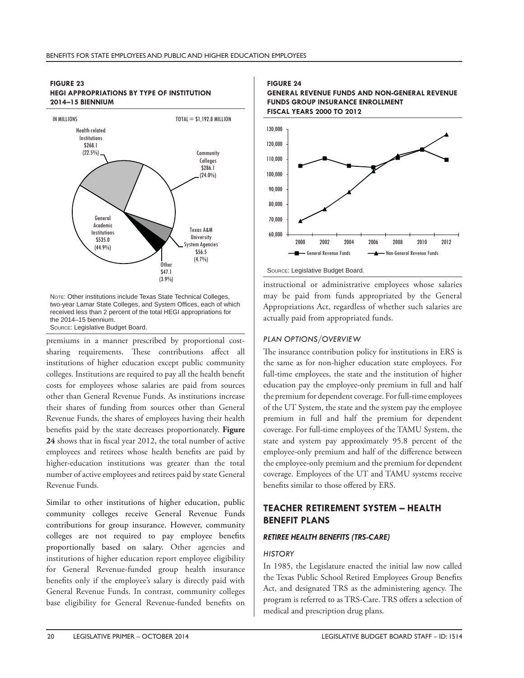

#### **FIGURE 23 HEGI APPROPRIATIONS BY TYPE OF INSTITUTION 2014–15 BIENNIUM**

NOTE: Other institutions include Texas State Technical Colleges, two-year Lamar State Colleges, and System Offices, each of which received less than 2 percent of the total HEGI appropriations for the 2014–15 biennium. SOURCE: Legislative Budget Board.

premiums in a manner prescribed by proportional costsharing requirements. These contributions affect all institutions of higher education except public community colleges. Institutions are required to pay all the health benefit costs for employees whose salaries are paid from sources other than General Revenue Funds. As institutions increase their shares of funding from sources other than General Revenue Funds, the shares of employees having their health benefits paid by the state decreases proportionately. Figure 24 shows that in fiscal year 2012, the total number of active employees and retirees whose health benefits are paid by higher-education institutions was greater than the total number of active employees and retirees paid by state General Revenue Funds.

Similar to other institutions of higher education, public community colleges receive General Revenue Funds contributions for group insurance. However, community colleges are not required to pay employee benefits proportionally based on salary. Other agencies and institutions of higher education report employee eligibility for General Revenue-funded group health insurance benefits only if the employee's salary is directly paid with General Revenue Funds. In contrast, community colleges base eligibility for General Revenue-funded benefits on





SOURCE: Legislative Budget Board.

instructional or administrative employees whose salaries may be paid from funds appropriated by the General Appropriations Act, regardless of whether such salaries are actually paid from appropriated funds.

# *PLAN OPTIONS/OVERVIEW*

The insurance contribution policy for institutions in ERS is the same as for non-higher education state employees. For full-time employees, the state and the institution of higher education pay the employee-only premium in full and half the premium for dependent coverage. For full-time employees of the UT System, the state and the system pay the employee premium in full and half the premium for dependent coverage. For full-time employees of the TAMU System, the state and system pay approximately 95.8 percent of the employee-only premium and half of the difference between the employee-only premium and the premium for dependent coverage. Employees of the UT and TAMU systems receive benefits similar to those offered by ERS.

# **TEACHER RETIREMENT SYSTEM – HEALTH BENEFIT PLANS**

# *RETIREE HEALTH BENEFITS (TRS-CARE)*

# *HISTORY*

In 1985, the Legislature enacted the initial law now called the Texas Public School Retired Employees Group Benefits Act, and designated TRS as the administering agency. The program is referred to as TRS-Care. TRS offers a selection of medical and prescription drug plans.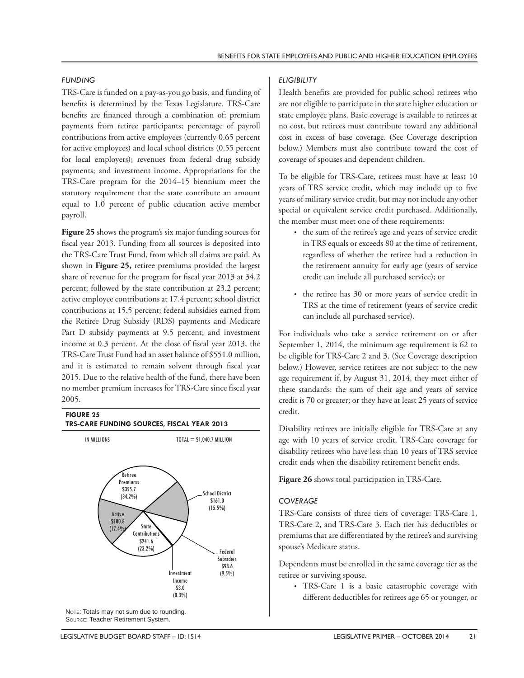#### *FUNDING*

TRS-Care is funded on a pay-as-you go basis, and funding of benefits is determined by the Texas Legislature. TRS-Care benefits are financed through a combination of: premium payments from retiree participants; percentage of payroll contributions from active employees (currently 0.65 percent for active employees) and local school districts (0.55 percent for local employers); revenues from federal drug subsidy payments; and investment income. Appropriations for the TRS-Care program for the 2014–15 biennium meet the statutory requirement that the state contribute an amount equal to 1.0 percent of public education active member payroll.

**Figure 25** shows the program's six major funding sources for fiscal year 2013. Funding from all sources is deposited into the TRS-Care Trust Fund, from which all claims are paid. As shown in **Figure 25,** retiree premiums provided the largest share of revenue for the program for fiscal year 2013 at 34.2 percent; followed by the state contribution at 23.2 percent; active employee contributions at 17.4 percent; school district contributions at 15.5 percent; federal subsidies earned from the Retiree Drug Subsidy (RDS) payments and Medicare Part D subsidy payments at 9.5 percent; and investment income at 0.3 percent. At the close of fiscal year 2013, the TRS-Care Trust Fund had an asset balance of \$551.0 million, and it is estimated to remain solvent through fiscal year 2015. Due to the relative health of the fund, there have been no member premium increases for TRS-Care since fiscal year 2005.

#### **FIGURE 25 TRS-CARE FUNDING SOURCES, FISCAL YEAR 2013**



NOTE: Totals may not sum due to rounding. SOURCE: Teacher Retirement System.

#### *ELIGIBILITY*

Health benefits are provided for public school retirees who are not eligible to participate in the state higher education or state employee plans. Basic coverage is available to retirees at no cost, but retirees must contribute toward any additional cost in excess of base coverage. (See Coverage description below.) Members must also contribute toward the cost of coverage of spouses and dependent children.

To be eligible for TRS-Care, retirees must have at least 10 years of TRS service credit, which may include up to five years of military service credit, but may not include any other special or equivalent service credit purchased. Additionally, the member must meet one of these requirements:

- the sum of the retiree's age and years of service credit in TRS equals or exceeds 80 at the time of retirement, regardless of whether the retiree had a reduction in the retirement annuity for early age (years of service credit can include all purchased service); or
- the retiree has 30 or more years of service credit in TRS at the time of retirement (years of service credit can include all purchased service).

For individuals who take a service retirement on or after September 1, 2014, the minimum age requirement is 62 to be eligible for TRS-Care 2 and 3. (See Coverage description below.) However, service retirees are not subject to the new age requirement if, by August 31, 2014, they meet either of these standards: the sum of their age and years of service credit is 70 or greater; or they have at least 25 years of service credit.

Disability retirees are initially eligible for TRS-Care at any age with 10 years of service credit. TRS-Care coverage for disability retirees who have less than 10 years of TRS service credit ends when the disability retirement benefit ends.

**Figure 26** shows total participation in TRS-Care.

#### *COVERAGE*

TRS-Care consists of three tiers of coverage: TRS-Care 1, TRS-Care 2, and TRS-Care 3. Each tier has deductibles or premiums that are differentiated by the retiree's and surviving spouse's Medicare status.

Dependents must be enrolled in the same coverage tier as the retiree or surviving spouse.

• TRS-Care 1 is a basic catastrophic coverage with different deductibles for retirees age 65 or younger, or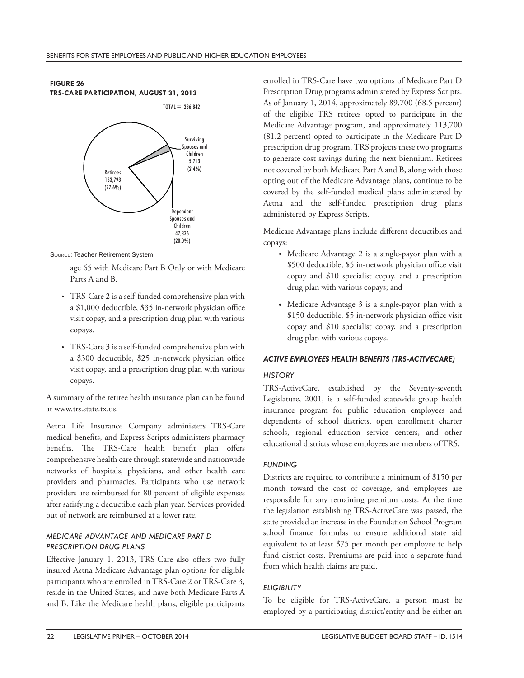# **FIGURE 26 TRS-CARE PARTICIPATION, AUGUST 31, 2013**



SOURCE: Teacher Retirement System.

age 65 with Medicare Part B Only or with Medicare Parts A and B.

- TRS-Care 2 is a self-funded comprehensive plan with a  $$1,000$  deductible,  $$35$  in-network physician office visit copay, and a prescription drug plan with various copays.
- TRS-Care 3 is a self-funded comprehensive plan with a \$300 deductible, \$25 in-network physician office visit copay, and a prescription drug plan with various copays.

A summary of the retiree health insurance plan can be found at www.trs.state.tx.us.

Aetna Life Insurance Company administers TRS-Care medical benefits, and Express Scripts administers pharmacy benefits. The TRS-Care health benefit plan offers comprehensive health care through statewide and nationwide networks of hospitals, physicians, and other health care providers and pharmacies. Participants who use network providers are reimbursed for 80 percent of eligible expenses after satisfying a deductible each plan year. Services provided out of network are reimbursed at a lower rate.

# *MEDICARE ADVANTAGE AND MEDICARE PART D PRESCRIPTION DRUG PLANS*

Effective January 1, 2013, TRS-Care also offers two fully insured Aetna Medicare Advantage plan options for eligible participants who are enrolled in TRS-Care 2 or TRS-Care 3, reside in the United States, and have both Medicare Parts A and B. Like the Medicare health plans, eligible participants

enrolled in TRS-Care have two options of Medicare Part D Prescription Drug programs administered by Express Scripts. As of January 1, 2014, approximately 89,700 (68.5 percent) of the eligible TRS retirees opted to participate in the Medicare Advantage program, and approximately 113,700 (81.2 percent) opted to participate in the Medicare Part D prescription drug program. TRS projects these two programs to generate cost savings during the next biennium. Retirees not covered by both Medicare Part A and B, along with those opting out of the Medicare Advantage plans, continue to be covered by the self-funded medical plans administered by Aetna and the self-funded prescription drug plans administered by Express Scripts.

Medicare Advantage plans include different deductibles and copays:

- Medicare Advantage 2 is a single-payor plan with a \$500 deductible, \$5 in-network physician office visit copay and \$10 specialist copay, and a prescription drug plan with various copays; and
- Medicare Advantage 3 is a single-payor plan with a \$150 deductible, \$5 in-network physician office visit copay and \$10 specialist copay, and a prescription drug plan with various copays.

# *ACTIVE EMPLOYEES HEALTH BENEFITS (TRS-ACTIVECARE)*

# *HISTORY*

TRS-ActiveCare, established by the Seventy-seventh Legislature, 2001, is a self-funded statewide group health insurance program for public education employees and dependents of school districts, open enrollment charter schools, regional education service centers, and other educational districts whose employees are members of TRS.

# *FUNDING*

Districts are required to contribute a minimum of \$150 per month toward the cost of coverage, and employees are responsible for any remaining premium costs. At the time the legislation establishing TRS-ActiveCare was passed, the state provided an increase in the Foundation School Program school finance formulas to ensure additional state aid equivalent to at least \$75 per month per employee to help fund district costs. Premiums are paid into a separate fund from which health claims are paid.

# *ELIGIBILITY*

To be eligible for TRS-ActiveCare, a person must be employed by a participating district/entity and be either an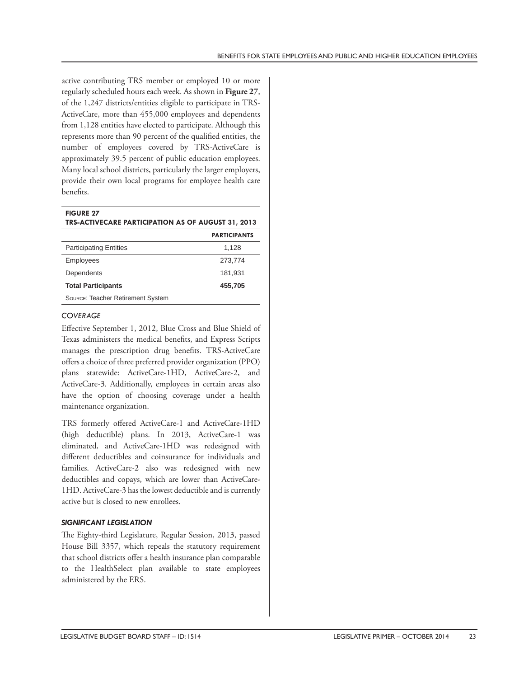active contributing TRS member or employed 10 or more regularly scheduled hours each week. As shown in **Figure 27**, of the 1,247 districts/entities eligible to participate in TRS-ActiveCare, more than 455,000 employees and dependents from 1,128 entities have elected to participate. Although this represents more than 90 percent of the qualified entities, the number of employees covered by TRS-ActiveCare is approximately 39.5 percent of public education employees. Many local school districts, particularly the larger employers, provide their own local programs for employee health care benefits.

| <b>FIGURE 27</b><br>TRS-ACTIVECARE PARTICIPATION AS OF AUGUST 31, 2013 |                     |  |  |  |  |
|------------------------------------------------------------------------|---------------------|--|--|--|--|
|                                                                        | <b>PARTICIPANTS</b> |  |  |  |  |
| <b>Participating Entities</b>                                          | 1.128               |  |  |  |  |
| Employees                                                              | 273.774             |  |  |  |  |
| Dependents                                                             | 181,931             |  |  |  |  |
| <b>Total Participants</b>                                              | 455,705             |  |  |  |  |
| SOURCE: Teacher Retirement System                                      |                     |  |  |  |  |

#### *COVERAGE*

Effective September 1, 2012, Blue Cross and Blue Shield of Texas administers the medical benefits, and Express Scripts manages the prescription drug benefits. TRS-ActiveCare offers a choice of three preferred provider organization (PPO) plans statewide: ActiveCare-1HD, ActiveCare-2, and ActiveCare-3. Additionally, employees in certain areas also have the option of choosing coverage under a health maintenance organization.

TRS formerly offered ActiveCare-1 and ActiveCare-1HD (high deductible) plans. In 2013, ActiveCare-1 was eliminated, and ActiveCare-1HD was redesigned with different deductibles and coinsurance for individuals and families. ActiveCare-2 also was redesigned with new deductibles and copays, which are lower than ActiveCare-1HD. ActiveCare-3 has the lowest deductible and is currently active but is closed to new enrollees.

#### *SIGNIFICANT LEGISLATION*

The Eighty-third Legislature, Regular Session, 2013, passed House Bill 3357, which repeals the statutory requirement that school districts offer a health insurance plan comparable to the HealthSelect plan available to state employees administered by the ERS.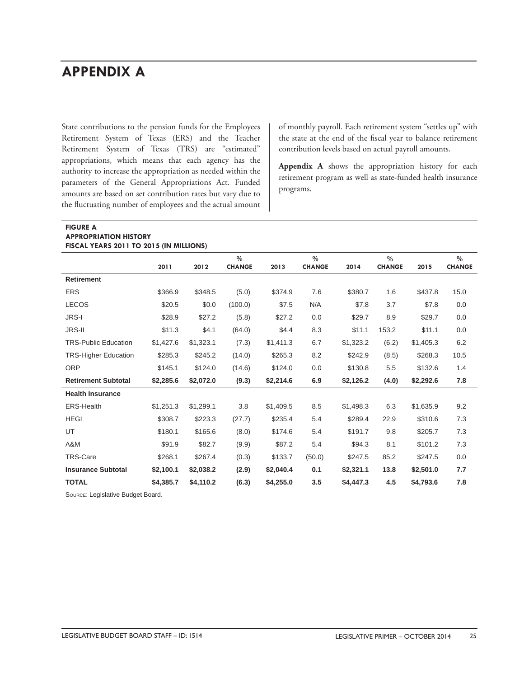# **APPENDIX A**

State contributions to the pension funds for the Employees Retirement System of Texas (ERS) and the Teacher Retirement System of Texas (TRS) are "estimated" appropriations, which means that each agency has the authority to increase the appropriation as needed within the parameters of the General Appropriations Act. Funded amounts are based on set contribution rates but vary due to the fluctuating number of employees and the actual amount of monthly payroll. Each retirement system "settles up" with the state at the end of the fiscal year to balance retirement contribution levels based on actual payroll amounts.

**Appendix A** shows the appropriation history for each retirement program as well as state-funded health insurance programs.

#### **FIGURE A APPROPRIATION HISTORY FISCAL YEARS 2011 TO 2015 (IN MILLIONS)**

|                             | 2011      | 2012      | $\frac{0}{0}$<br><b>CHANGE</b> | 2013      | $\frac{0}{0}$<br><b>CHANGE</b> | 2014      | $\frac{0}{0}$<br><b>CHANGE</b> | 2015      | $\frac{0}{0}$<br><b>CHANGE</b> |
|-----------------------------|-----------|-----------|--------------------------------|-----------|--------------------------------|-----------|--------------------------------|-----------|--------------------------------|
| <b>Retirement</b>           |           |           |                                |           |                                |           |                                |           |                                |
| <b>ERS</b>                  | \$366.9   | \$348.5   | (5.0)                          | \$374.9   | 7.6                            | \$380.7   | 1.6                            | \$437.8   | 15.0                           |
| <b>LECOS</b>                | \$20.5    | \$0.0     | (100.0)                        | \$7.5     | N/A                            | \$7.8     | 3.7                            | \$7.8     | 0.0                            |
| <b>JRS-I</b>                | \$28.9    | \$27.2    | (5.8)                          | \$27.2    | 0.0                            | \$29.7    | 8.9                            | \$29.7    | 0.0                            |
| <b>JRS-II</b>               | \$11.3    | \$4.1     | (64.0)                         | \$4.4     | 8.3                            | \$11.1    | 153.2                          | \$11.1    | 0.0                            |
| <b>TRS-Public Education</b> | \$1,427.6 | \$1,323.1 | (7.3)                          | \$1,411.3 | 6.7                            | \$1,323.2 | (6.2)                          | \$1,405.3 | 6.2                            |
| <b>TRS-Higher Education</b> | \$285.3   | \$245.2   | (14.0)                         | \$265.3   | 8.2                            | \$242.9   | (8.5)                          | \$268.3   | 10.5                           |
| ORP                         | \$145.1   | \$124.0   | (14.6)                         | \$124.0   | 0.0                            | \$130.8   | 5.5                            | \$132.6   | 1.4                            |
| <b>Retirement Subtotal</b>  | \$2,285.6 | \$2,072.0 | (9.3)                          | \$2,214.6 | 6.9                            | \$2,126.2 | (4.0)                          | \$2,292.6 | 7.8                            |
| <b>Health Insurance</b>     |           |           |                                |           |                                |           |                                |           |                                |
| <b>ERS-Health</b>           | \$1,251.3 | \$1,299.1 | 3.8                            | \$1,409.5 | 8.5                            | \$1,498.3 | 6.3                            | \$1,635.9 | 9.2                            |
| <b>HEGI</b>                 | \$308.7   | \$223.3   | (27.7)                         | \$235.4   | 5.4                            | \$289.4   | 22.9                           | \$310.6   | 7.3                            |
| UT                          | \$180.1   | \$165.6   | (8.0)                          | \$174.6   | 5.4                            | \$191.7   | 9.8                            | \$205.7   | 7.3                            |
| A&M                         | \$91.9    | \$82.7    | (9.9)                          | \$87.2    | 5.4                            | \$94.3    | 8.1                            | \$101.2   | 7.3                            |
| <b>TRS-Care</b>             | \$268.1   | \$267.4   | (0.3)                          | \$133.7   | (50.0)                         | \$247.5   | 85.2                           | \$247.5   | 0.0                            |
| <b>Insurance Subtotal</b>   | \$2,100.1 | \$2,038.2 | (2.9)                          | \$2,040.4 | 0.1                            | \$2,321.1 | 13.8                           | \$2,501.0 | 7.7                            |
| <b>TOTAL</b>                | \$4,385.7 | \$4,110.2 | (6.3)                          | \$4,255.0 | 3.5                            | \$4,447.3 | 4.5                            | \$4,793.6 | 7.8                            |

SOURCE: Legislative Budget Board.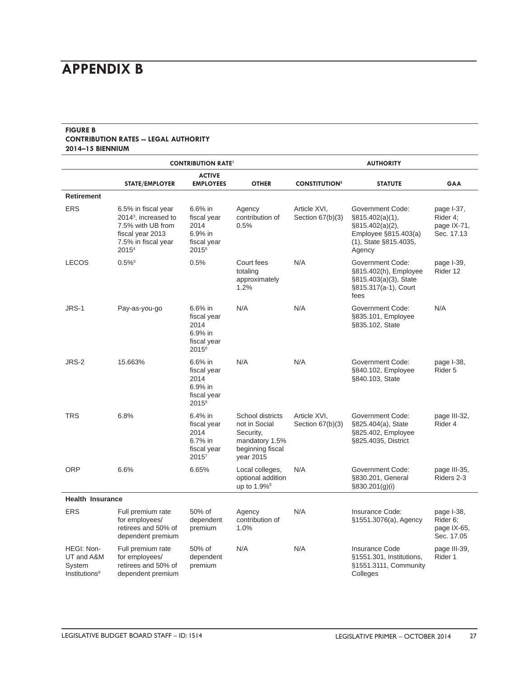# **APPENDIX B**

#### **FIGURE B CONTRIBUTION RATES -- LEGAL AUTHORITY 2014–15 BIENNIUM**

|                                                                 |                                                                                                                                              | <b>CONTRIBUTION RATE'</b>                                         |                                                                                                   | <b>AUTHORITY</b>                   |                                                                                                                      |                                                     |  |
|-----------------------------------------------------------------|----------------------------------------------------------------------------------------------------------------------------------------------|-------------------------------------------------------------------|---------------------------------------------------------------------------------------------------|------------------------------------|----------------------------------------------------------------------------------------------------------------------|-----------------------------------------------------|--|
|                                                                 |                                                                                                                                              | <b>ACTIVE</b>                                                     | <b>OTHER</b>                                                                                      | <b>CONSTITUTION<sup>2</sup></b>    |                                                                                                                      | <b>GAA</b>                                          |  |
| <b>Retirement</b>                                               | <b>STATE/EMPLOYER</b>                                                                                                                        | <b>EMPLOYEES</b>                                                  |                                                                                                   |                                    | <b>STATUTE</b>                                                                                                       |                                                     |  |
| <b>ERS</b>                                                      | 6.5% in fiscal year<br>2014 <sup>3</sup> , increased to<br>7.5% with UB from<br>fiscal year 2013<br>7.5% in fiscal year<br>2015 <sup>4</sup> | 6.6% in<br>fiscal year<br>2014<br>6.9% in<br>fiscal year<br>20156 | Agency<br>contribution of<br>0.5%                                                                 | Article XVI,<br>Section $67(b)(3)$ | Government Code:<br>§815.402(a)(1),<br>§815.402(a)(2),<br>Employee §815.403(a)<br>$(1)$ , State §815.4035,<br>Agency | page I-37,<br>Rider 4;<br>page IX-71,<br>Sec. 17.13 |  |
| <b>LECOS</b>                                                    | $0.5\%$ <sup>5</sup>                                                                                                                         | 0.5%                                                              | Court fees<br>totaling<br>approximately<br>1.2%                                                   | N/A                                | Government Code:<br>§815.402(h), Employee<br>§815.403(a)(3), State<br>§815.317(a-1), Court<br>fees                   | page I-39,<br>Rider 12                              |  |
| JRS-1                                                           | Pay-as-you-go                                                                                                                                | 6.6% in<br>fiscal year<br>2014<br>6.9% in<br>fiscal year<br>20156 | N/A                                                                                               | N/A                                | Government Code:<br>§835.101, Employee<br>§835.102, State                                                            | N/A                                                 |  |
| JRS-2                                                           | 15.663%                                                                                                                                      | 6.6% in<br>fiscal year<br>2014<br>6.9% in<br>fiscal year<br>20156 | N/A                                                                                               | N/A                                | Government Code:<br>§840.102, Employee<br>§840.103, State                                                            | page I-38,<br>Rider 5                               |  |
| <b>TRS</b>                                                      | 6.8%                                                                                                                                         | 6.4% in<br>fiscal year<br>2014<br>6.7% in<br>fiscal year<br>20157 | School districts<br>not in Social<br>Security,<br>mandatory 1.5%<br>beginning fiscal<br>year 2015 | Article XVI,<br>Section $67(b)(3)$ | Government Code:<br>§825.404(a), State<br>§825.402, Employee<br>§825.4035, District                                  | page III-32,<br>Rider 4                             |  |
| <b>ORP</b>                                                      | 6.6%                                                                                                                                         | 6.65%                                                             | Local colleges,<br>optional addition<br>up to $1.9\%$ <sup>8</sup>                                | N/A                                | Government Code:<br>§830.201, General<br>§830.201(g)(i)                                                              | page III-35,<br>Riders 2-3                          |  |
| <b>Health Insurance</b>                                         |                                                                                                                                              |                                                                   |                                                                                                   |                                    |                                                                                                                      |                                                     |  |
| <b>ERS</b>                                                      | Full premium rate<br>for employees/<br>retirees and 50% of<br>dependent premium                                                              | 50% of<br>dependent<br>premium                                    | Agency<br>contribution of<br>1.0%                                                                 | N/A                                | Insurance Code:<br>§1551.3076(a), Agency                                                                             | page I-38,<br>Rider 6:<br>page IX-65,<br>Sec. 17.05 |  |
| HEGI: Non-<br>UT and A&M<br>System<br>Institutions <sup>9</sup> | Full premium rate<br>for employees/<br>retirees and 50% of<br>dependent premium                                                              | 50% of<br>dependent<br>premium                                    | N/A                                                                                               | N/A                                | <b>Insurance Code</b><br>§1551.301, Institutions,<br>§1551.3111, Community<br>Colleges                               | page III-39,<br>Rider 1                             |  |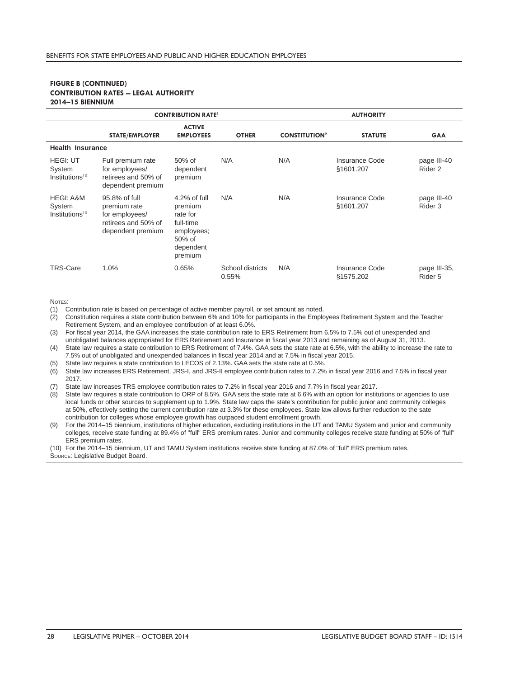#### **FIGURE B (CONTINUED) CONTRIBUTION RATES -- LEGAL AUTHORITY 2014–15 BIENNIUM**

|                                                              |                                                                                             | <b>CONTRIBUTION RATE'</b>                                                                           |                           | <b>AUTHORITY</b>                |                                    |                         |  |
|--------------------------------------------------------------|---------------------------------------------------------------------------------------------|-----------------------------------------------------------------------------------------------------|---------------------------|---------------------------------|------------------------------------|-------------------------|--|
|                                                              | <b>STATE/EMPLOYER</b>                                                                       | <b>ACTIVE</b><br><b>EMPLOYEES</b>                                                                   | <b>OTHER</b>              | <b>CONSTITUTION<sup>2</sup></b> | <b>STATUTE</b>                     | <b>GAA</b>              |  |
| <b>Health Insurance</b>                                      |                                                                                             |                                                                                                     |                           |                                 |                                    |                         |  |
| <b>HEGI: UT</b><br>System<br>Institutions <sup>10</sup>      | Full premium rate<br>for employees/<br>retirees and 50% of<br>dependent premium             | $50%$ of<br>dependent<br>premium                                                                    | N/A                       | N/A                             | Insurance Code<br>\$1601.207       | page III-40<br>Rider 2  |  |
| <b>HEGI: A&amp;M</b><br>System<br>Institutions <sup>10</sup> | 95.8% of full<br>premium rate<br>for employees/<br>retirees and 50% of<br>dependent premium | $4.2\%$ of full<br>premium<br>rate for<br>full-time<br>employees;<br>50% of<br>dependent<br>premium | N/A                       | N/A                             | Insurance Code<br>\$1601.207       | page III-40<br>Rider 3  |  |
| <b>TRS-Care</b>                                              | 1.0%                                                                                        | 0.65%                                                                                               | School districts<br>0.55% | N/A                             | <b>Insurance Code</b><br>§1575.202 | page III-35,<br>Rider 5 |  |

NOTES:

- (1) Contribution rate is based on percentage of active member payroll, or set amount as noted.
- (2) Constitution requires a state contribution between 6% and 10% for participants in the Employees Retirement System and the Teacher Retirement System, and an employee contribution of at least 6.0%.
- (3) For fiscal year 2014, the GAA increases the state contribution rate to ERS Retirement from 6.5% to 7.5% out of unexpended and unobligated balances appropriated for ERS Retirement and Insurance in fiscal year 2013 and remaining as of August 31, 2013.
- (4) State law requires a state contribution to ERS Retirement of 7.4%. GAA sets the state rate at 6.5%, with the ability to increase the rate to 7.5% out of unobligated and unexpended balances in fiscal year 2014 and at 7.5% in fiscal year 2015.
- (5) State law requires a state contribution to LECOS of 2.13%. GAA sets the state rate at 0.5%.
- (6) State law increases ERS Retirement, JRS-I, and JRS-II employee contribution rates to 7.2% in fiscal year 2016 and 7.5% in fiscal year 2017.
- (7) State law increases TRS employee contribution rates to 7.2% in fiscal year 2016 and 7.7% in fiscal year 2017.
- (8) State law requires a state contribution to ORP of 8.5%. GAA sets the state rate at 6.6% with an option for institutions or agencies to use local funds or other sources to supplement up to 1.9%. State law caps the state's contribution for public junior and community colleges at 50%, effectively setting the current contribution rate at 3.3% for these employees. State law allows further reduction to the sate contribution for colleges whose employee growth has outpaced student enrollment growth.
- (9) For the 2014–15 biennium, institutions of higher education, excluding institutions in the UT and TAMU System and junior and community colleges, receive state funding at 89.4% of "full" ERS premium rates. Junior and community colleges receive state funding at 50% of "full" ERS premium rates.

(10) For the 2014–15 biennium, UT and TAMU System institutions receive state funding at 87.0% of "full" ERS premium rates. SOURCE: Legislative Budget Board.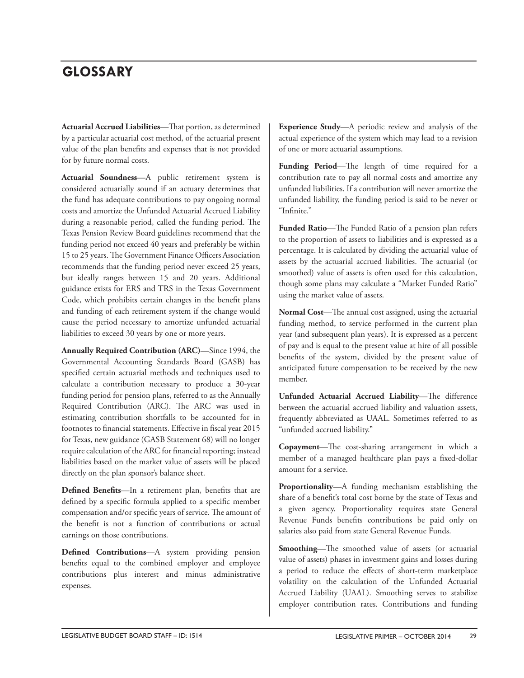# **GLOSSARY**

Actuarial Accrued Liabilities-That portion, as determined by a particular actuarial cost method, of the actuarial present value of the plan benefits and expenses that is not provided for by future normal costs.

**Actuarial Soundness**—A public retirement system is considered actuarially sound if an actuary determines that the fund has adequate contributions to pay ongoing normal costs and amortize the Unfunded Actuarial Accrued Liability during a reasonable period, called the funding period. The Texas Pension Review Board guidelines recommend that the funding period not exceed 40 years and preferably be within 15 to 25 years. The Government Finance Officers Association recommends that the funding period never exceed 25 years, but ideally ranges between 15 and 20 years. Additional guidance exists for ERS and TRS in the Texas Government Code, which prohibits certain changes in the benefit plans and funding of each retirement system if the change would cause the period necessary to amortize unfunded actuarial liabilities to exceed 30 years by one or more years.

**Annually Required Contribution (ARC)**—Since 1994, the Governmental Accounting Standards Board (GASB) has specified certain actuarial methods and techniques used to calculate a contribution necessary to produce a 30-year funding period for pension plans, referred to as the Annually Required Contribution (ARC). The ARC was used in estimating contribution shortfalls to be accounted for in footnotes to financial statements. Effective in fiscal year 2015 for Texas, new guidance (GASB Statement 68) will no longer require calculation of the ARC for financial reporting; instead liabilities based on the market value of assets will be placed directly on the plan sponsor's balance sheet.

**Defined Benefits**—In a retirement plan, benefits that are defined by a specific formula applied to a specific member compensation and/or specific years of service. The amount of the benefit is not a function of contributions or actual earnings on those contributions.

**Defined Contributions**—A system providing pension benefits equal to the combined employer and employee contributions plus interest and minus administrative expenses.

**Experience Study**—A periodic review and analysis of the actual experience of the system which may lead to a revision of one or more actuarial assumptions.

Funding Period—The length of time required for a contribution rate to pay all normal costs and amortize any unfunded liabilities. If a contribution will never amortize the unfunded liability, the funding period is said to be never or "Infinite."

**Funded Ratio**—The Funded Ratio of a pension plan refers to the proportion of assets to liabilities and is expressed as a percentage. It is calculated by dividing the actuarial value of assets by the actuarial accrued liabilities. The actuarial (or smoothed) value of assets is often used for this calculation, though some plans may calculate a "Market Funded Ratio" using the market value of assets.

Normal Cost—The annual cost assigned, using the actuarial funding method, to service performed in the current plan year (and subsequent plan years). It is expressed as a percent of pay and is equal to the present value at hire of all possible benefits of the system, divided by the present value of anticipated future compensation to be received by the new member.

**Unfunded Actuarial Accrued Liability**-The difference between the actuarial accrued liability and valuation assets, frequently abbreviated as UAAL. Sometimes referred to as "unfunded accrued liability."

**Copayment**—The cost-sharing arrangement in which a member of a managed healthcare plan pays a fixed-dollar amount for a service.

**Proportionality**—A funding mechanism establishing the share of a benefit's total cost borne by the state of Texas and a given agency. Proportionality requires state General Revenue Funds benefits contributions be paid only on salaries also paid from state General Revenue Funds.

**Smoothing**—The smoothed value of assets (or actuarial value of assets) phases in investment gains and losses during a period to reduce the effects of short-term marketplace volatility on the calculation of the Unfunded Actuarial Accrued Liability (UAAL). Smoothing serves to stabilize employer contribution rates. Contributions and funding